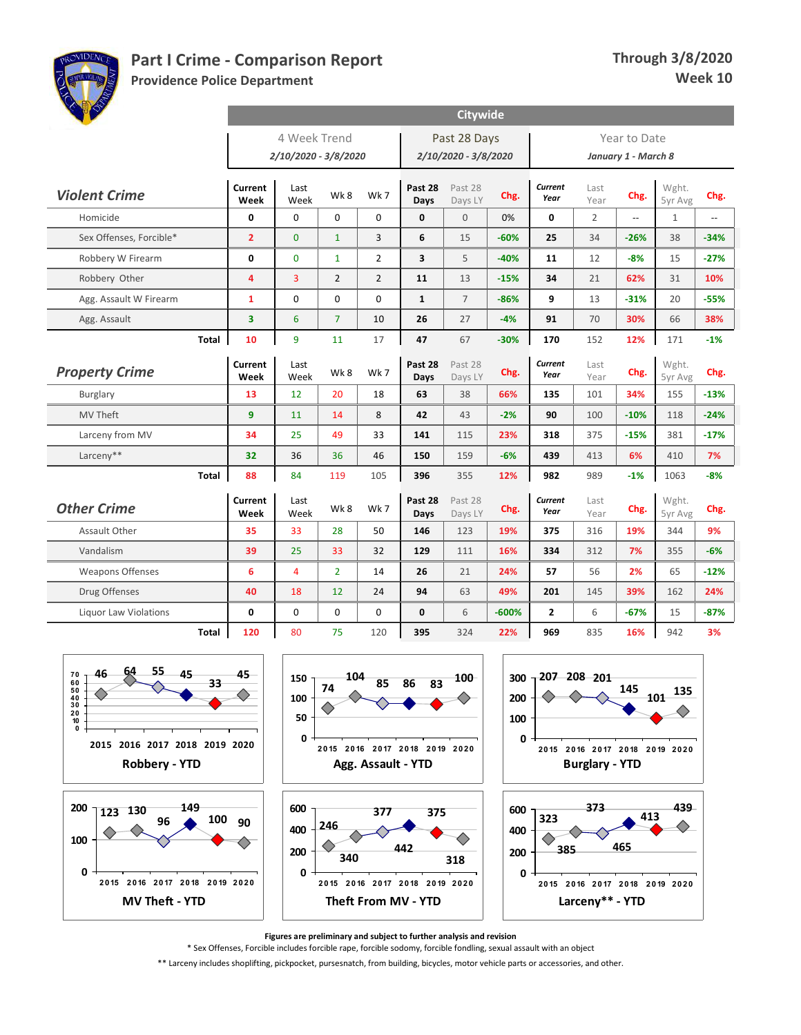

**439**

**Providence Police Department**

|                              |              |                 |                                      |                   |                |                 | Citywide                             |         |                 |                |                                     |                  |                          |
|------------------------------|--------------|-----------------|--------------------------------------|-------------------|----------------|-----------------|--------------------------------------|---------|-----------------|----------------|-------------------------------------|------------------|--------------------------|
|                              |              |                 | 4 Week Trend<br>2/10/2020 - 3/8/2020 |                   |                |                 | Past 28 Days<br>2/10/2020 - 3/8/2020 |         |                 |                | Year to Date<br>January 1 - March 8 |                  |                          |
| <b>Violent Crime</b>         |              | Current         | Last                                 | Wk8               | Wk7            | Past 28         | Past 28                              | Chg.    | Current         | Last           | Chg.                                | Wght.            | Chg.                     |
|                              |              | Week            | Week                                 |                   |                | Days            | Days LY                              |         | Year            | Year           |                                     | 5yr Avg          |                          |
| Homicide                     |              | 0               | $\mathbf 0$                          | $\mathbf 0$       | $\mathbf 0$    | 0               | $\mathbf{0}$                         | 0%      | 0               | $\overline{2}$ | Ξ.                                  | $\mathbf{1}$     | $\overline{\phantom{a}}$ |
| Sex Offenses, Forcible*      |              | $\overline{2}$  | $\Omega$                             | $\mathbf{1}$      | 3              | 6               | 15                                   | $-60%$  | 25              | 34             | $-26%$                              | 38               | $-34%$                   |
| Robbery W Firearm            |              | 0               | $\Omega$                             | $\mathbf{1}$      | $\overline{2}$ | 3               | 5                                    | $-40%$  | 11              | 12             | $-8%$                               | 15               | $-27%$                   |
| Robbery Other                |              | $\overline{4}$  | $\overline{3}$                       | $\overline{2}$    | $\overline{2}$ | 11              | 13                                   | $-15%$  | 34              | 21             | 62%                                 | 31               | 10%                      |
| Agg. Assault W Firearm       |              | $\mathbf{1}$    | $\Omega$                             | $\Omega$          | $\Omega$       | $\mathbf{1}$    | $\overline{7}$                       | $-86%$  | 9               | 13             | $-31%$                              | 20               | $-55%$                   |
| Agg. Assault                 |              | 3               | 6                                    | $\overline{7}$    | 10             | 26              | 27                                   | $-4%$   | 91              | 70             | 30%                                 | 66               | 38%                      |
|                              | <b>Total</b> | 10              | 9                                    | 11                | 17             | 47              | 67                                   | $-30%$  | 170             | 152            | 12%                                 | 171              | $-1%$                    |
| <b>Property Crime</b>        |              | Current<br>Week | Last<br>Week                         | Wk8               | Wk7            | Past 28<br>Days | Past 28<br>Days LY                   | Chg.    | Current<br>Year | Last<br>Year   | Chg.                                | Wght.<br>5yr Avg | Chg.                     |
| Burglary                     |              | 13              | $12 \overline{ }$                    | 20                | 18             | 63              | 38                                   | 66%     | 135             | 101            | 34%                                 | 155              | $-13%$                   |
| <b>MV Theft</b>              |              | 9               | 11                                   | 14                | 8              | 42              | 43                                   | $-2%$   | 90              | 100            | $-10%$                              | 118              | $-24%$                   |
| Larceny from MV              |              | 34              | 25                                   | 49                | 33             | 141             | 115                                  | 23%     | 318             | 375            | $-15%$                              | 381              | $-17%$                   |
| Larceny**                    |              | 32              | 36                                   | 36                | 46             | 150             | 159                                  | $-6%$   | 439             | 413            | 6%                                  | 410              | 7%                       |
|                              | Total        | 88              | 84                                   | 119               | 105            | 396             | 355                                  | 12%     | 982             | 989            | $-1%$                               | 1063             | $-8%$                    |
| <b>Other Crime</b>           |              | Current<br>Week | Last<br>Week                         | Wk8               | Wk 7           | Past 28<br>Days | Past 28<br>Days LY                   | Chg.    | Current<br>Year | Last<br>Year   | Chg.                                | Wght.<br>5yr Avg | Chg.                     |
| Assault Other                |              | 35              | 33                                   | 28                | 50             | 146             | 123                                  | 19%     | 375             | 316            | 19%                                 | 344              | 9%                       |
| Vandalism                    |              | 39              | 25                                   | 33                | 32             | 129             | 111                                  | 16%     | 334             | 312            | 7%                                  | 355              | $-6%$                    |
| <b>Weapons Offenses</b>      |              | 6               | $\overline{4}$                       | $\overline{2}$    | 14             | 26              | 21                                   | 24%     | 57              | 56             | 2%                                  | 65               | $-12%$                   |
| Drug Offenses                |              | 40              | 18                                   | $12 \overline{ }$ | 24             | 94              | 63                                   | 49%     | 201             | 145            | 39%                                 | 162              | 24%                      |
| <b>Liquor Law Violations</b> |              | 0               | $\mathbf 0$                          | $\mathbf 0$       | 0              | 0               | 6                                    | $-600%$ | $\mathbf{2}$    | 6              | $-67%$                              | 15               | $-87%$                   |
|                              | <b>Total</b> | 120             | 80                                   | 75                | 120            | 395             | 324                                  | 22%     | 969             | 835            | 16%                                 | 942              | 3%                       |



**Figures are preliminary and subject to further analysis and revision**

\* Sex Offenses, Forcible includes forcible rape, forcible sodomy, forcible fondling, sexual assault with an object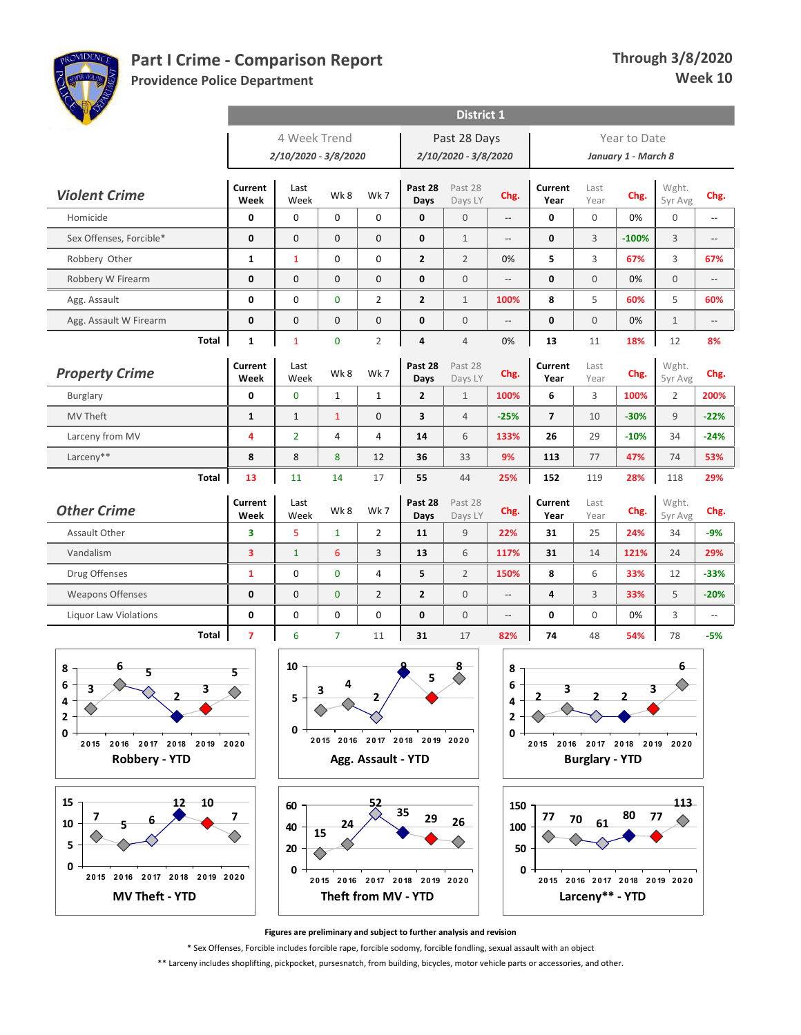

**Providence Police Department**

| <b>Collage Collapse</b>      |                        |                      |                |                |                         | <b>District 1</b>    |                          |                 |              |                     |                  |                                               |
|------------------------------|------------------------|----------------------|----------------|----------------|-------------------------|----------------------|--------------------------|-----------------|--------------|---------------------|------------------|-----------------------------------------------|
|                              |                        | 4 Week Trend         |                |                |                         | Past 28 Days         |                          |                 | Year to Date |                     |                  |                                               |
|                              |                        | 2/10/2020 - 3/8/2020 |                |                |                         | 2/10/2020 - 3/8/2020 |                          |                 |              | January 1 - March 8 |                  |                                               |
| <b>Violent Crime</b>         | <b>Current</b><br>Week | Last<br>Week         | Wk8            | Wk7            | Past 28<br>Days         | Past 28<br>Days LY   | Chg.                     | Current<br>Year | Last<br>Year | Chg.                | Wght.<br>5yr Avg | Chg.                                          |
| Homicide                     | 0                      | $\Omega$             | $\Omega$       | $\Omega$       | $\mathbf{0}$            | $\Omega$             | $\overline{\phantom{a}}$ | $\mathbf{0}$    | $\Omega$     | 0%                  | $\overline{0}$   | $\mathord{\hspace{1pt}\text{--}\hspace{1pt}}$ |
| Sex Offenses, Forcible*      | 0                      | $\mathbf{0}$         | $\Omega$       | 0              | $\mathbf 0$             | $\mathbf{1}$         | $\overline{\phantom{a}}$ | $\mathbf 0$     | 3            | $-100%$             | 3                | $\overline{\phantom{a}}$                      |
| Robbery Other                | $\mathbf{1}$           | $\mathbf{1}$         | $\mathbf 0$    | 0              | $\overline{2}$          | $\overline{2}$       | 0%                       | 5               | 3            | 67%                 | 3                | 67%                                           |
| Robbery W Firearm            | $\mathbf 0$            | $\Omega$             | $\Omega$       | $\mathbf{0}$   | $\mathbf{0}$            | $\Omega$             | $\overline{\phantom{a}}$ | $\mathbf{0}$    | $\Omega$     | 0%                  | $\overline{0}$   | $\overline{\phantom{a}}$                      |
| Agg. Assault                 | 0                      | $\mathbf 0$          | $\overline{0}$ | $\overline{2}$ | $\overline{2}$          | $\mathbf{1}$         | 100%                     | 8               | 5            | 60%                 | 5                | 60%                                           |
| Agg. Assault W Firearm       | 0                      | $\mathbf{0}$         | $\mathbf{0}$   | $\mathbf 0$    | $\mathbf{0}$            | $\mathbf{0}$         | $\overline{\phantom{a}}$ | $\mathbf{0}$    | $\Omega$     | 0%                  | $\mathbf{1}$     | $\overline{\phantom{a}}$                      |
| Total                        | $\mathbf{1}$           | $\mathbf{1}$         | $\overline{0}$ | $\overline{2}$ | $\overline{a}$          | $\overline{4}$       | 0%                       | 13              | 11           | 18%                 | 12               | 8%                                            |
| <b>Property Crime</b>        | Current<br>Week        | Last<br>Week         | Wk8            | Wk7            | Past 28<br>Days         | Past 28<br>Days LY   | Chg.                     | Current<br>Year | Last<br>Year | Chg.                | Wght.<br>5yr Avg | Chg.                                          |
| <b>Burglary</b>              | 0                      | $\mathbf{0}$         | $\mathbf{1}$   | $\mathbf{1}$   | $\overline{2}$          | $\mathbf{1}$         | 100%                     | 6               | 3            | 100%                | $\overline{2}$   | 200%                                          |
| <b>MV Theft</b>              | $\mathbf{1}$           | $\mathbf{1}$         | $\mathbf{1}$   | $\Omega$       | $\overline{\mathbf{3}}$ | $\overline{4}$       | $-25%$                   | $\overline{7}$  | 10           | $-30%$              | 9                | $-22%$                                        |
| Larceny from MV              | 4                      | $\overline{2}$       | $\overline{4}$ | 4              | 14                      | 6                    | 133%                     | 26              | 29           | $-10%$              | 34               | $-24%$                                        |
| Larceny**                    | 8                      | 8                    | 8              | 12             | 36                      | 33                   | 9%                       | 113             | 77           | 47%                 | 74               | 53%                                           |
| <b>Total</b>                 | 13                     | 11                   | 14             | 17             | 55                      | 44                   | 25%                      | 152             | 119          | 28%                 | 118              | 29%                                           |
| <b>Other Crime</b>           | Current<br>Week        | Last<br>Week         | Wk8            | Wk 7           | Past 28<br>Days         | Past 28<br>Days LY   | Chg.                     | Current<br>Year | Last<br>Year | Chg.                | Wght.<br>5yr Avg | Chg.                                          |
| Assault Other                | 3                      | 5                    | $\mathbf{1}$   | $\overline{2}$ | 11                      | $\mathsf g$          | 22%                      | 31              | 25           | 24%                 | 34               | $-9%$                                         |
| Vandalism                    | 3                      | $\mathbf{1}$         | 6              | 3              | 13                      | 6                    | 117%                     | 31              | 14           | 121%                | 24               | 29%                                           |
| Drug Offenses                | $\mathbf{1}$           | $\Omega$             | $\Omega$       | $\overline{4}$ | 5                       | $\overline{2}$       | 150%                     | 8               | 6            | 33%                 | 12               | $-33%$                                        |
| <b>Weapons Offenses</b>      | 0                      | $\mathbf{0}$         | $\overline{0}$ | $\overline{2}$ | $\overline{2}$          | $\mathbf{0}$         | --                       | 4               | 3            | 33%                 | 5                | $-20%$                                        |
| <b>Liquor Law Violations</b> | 0                      | 0                    | 0              | 0              | $\mathbf{0}$            | $\mathbf{0}$         | $\overline{\phantom{a}}$ | $\mathbf{0}$    | $\mathbf 0$  | 0%                  | 3                | $\overline{\phantom{a}}$                      |
| <b>Total</b>                 | $\overline{7}$         | 6                    | $\overline{7}$ | 11             | 31                      | 17                   | 82%                      | 74              | 48           | 54%                 | 78               | $-5%$                                         |
|                              |                        |                      |                |                |                         |                      |                          |                 |              |                     |                  |                                               |









**Figures are preliminary and subject to further analysis and revision**

\* Sex Offenses, Forcible includes forcible rape, forcible sodomy, forcible fondling, sexual assault with an object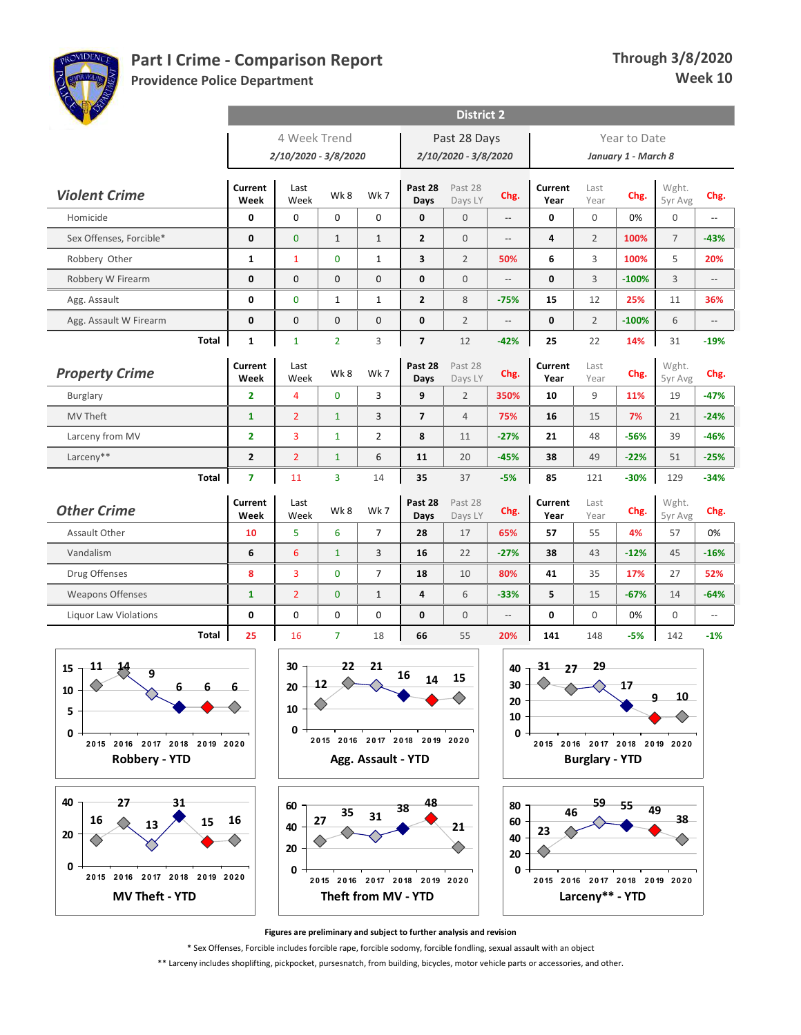

**MV Theft - YTD**

**2 0 15 2 0 16 2 0 17 2 0 18 2 0 19 2 0 2 0**

# **Part I Crime - Comparison Report**

**Providence Police Department**

| <b>BASE</b>                                           |                 |                      |                               |                    |                               | <b>District 2</b>    |                          |                               |                       |                     |                  |                          |
|-------------------------------------------------------|-----------------|----------------------|-------------------------------|--------------------|-------------------------------|----------------------|--------------------------|-------------------------------|-----------------------|---------------------|------------------|--------------------------|
|                                                       |                 | 4 Week Trend         |                               |                    |                               | Past 28 Days         |                          |                               |                       | Year to Date        |                  |                          |
|                                                       |                 | 2/10/2020 - 3/8/2020 |                               |                    |                               | 2/10/2020 - 3/8/2020 |                          |                               |                       | January 1 - March 8 |                  |                          |
| <b>Violent Crime</b>                                  | Current<br>Week | Last<br>Week         | Wk8                           | Wk 7               | Past 28<br>Days               | Past 28<br>Days LY   | Chg.                     | Current<br>Year               | Last<br>Year          | Chg.                | Wght.<br>5yr Avg | Chg.                     |
| Homicide                                              | 0               | $\mathbf 0$          | $\mathbf 0$                   | 0                  | 0                             | $\mathbf{0}$         | Щ,                       | 0                             | $\mathbf 0$           | 0%                  | $\boldsymbol{0}$ | $\overline{\phantom{a}}$ |
| Sex Offenses, Forcible*                               | 0               | $\mathbf{0}$         | $\mathbf{1}$                  | $\mathbf{1}$       | $\overline{2}$                | $\mathbf{0}$         | --                       | 4                             | $\overline{2}$        | 100%                | $\overline{7}$   | $-43%$                   |
| Robbery Other                                         | 1               | $\mathbf{1}$         | $\mathbf{0}$                  | $\mathbf{1}$       | 3                             | $\overline{2}$       | 50%                      | 6                             | 3                     | 100%                | 5                | 20%                      |
| Robbery W Firearm                                     | 0               | $\mathbf{0}$         | $\mathbf{0}$                  | 0                  | $\mathbf 0$                   | $\mathbf{0}$         | $\overline{\phantom{a}}$ | $\mathbf 0$                   | 3                     | $-100%$             | 3                | $\overline{\phantom{a}}$ |
| Agg. Assault                                          | 0               | $\mathbf{0}$         | $\mathbf{1}$                  | $\mathbf{1}$       | $\overline{2}$                | 8                    | $-75%$                   | 15                            | 12                    | 25%                 | 11               | 36%                      |
| Agg. Assault W Firearm                                | 0               | $\mathbf 0$          | $\mathbf 0$                   | 0                  | $\mathbf 0$                   | $\overline{2}$       | Ξ.                       | 0                             | $\overline{2}$        | $-100%$             | 6                | $\overline{\phantom{a}}$ |
| Total                                                 | 1               | $\mathbf{1}$         | $\overline{2}$                | 3                  | $\overline{7}$                | 12                   | $-42%$                   | 25                            | 22                    | 14%                 | 31               | $-19%$                   |
| <b>Property Crime</b>                                 | Current<br>Week | Last<br>Week         | Wk8                           | Wk7                | Past 28<br>Days               | Past 28<br>Days LY   | Chg.                     | Current<br>Year               | Last<br>Year          | Chg.                | Wght.<br>5yr Avg | Chg.                     |
| <b>Burglary</b>                                       | 2               | 4                    | $\mathbf{0}$                  | 3                  | 9                             | $\overline{2}$       | 350%                     | 10                            | 9                     | 11%                 | 19               | $-47%$                   |
| MV Theft                                              | $\mathbf{1}$    | $\overline{2}$       | $\mathbf{1}$                  | 3                  | $\overline{\mathbf{z}}$       | $\overline{4}$       | 75%                      | 16                            | 15                    | 7%                  | 21               | $-24%$                   |
| Larceny from MV                                       | 2               | 3                    | $\mathbf{1}$                  | $\overline{2}$     | 8                             | 11                   | $-27%$                   | 21                            | 48                    | $-56%$              | 39               | $-46%$                   |
| Larceny**                                             | 2               | $\overline{2}$       | $\mathbf{1}$                  | 6                  | 11                            | 20                   | $-45%$                   | 38                            | 49                    | $-22%$              | 51               | $-25%$                   |
| Total                                                 | $\overline{7}$  | 11                   | 3                             | 14                 | 35                            | 37                   | $-5%$                    | 85                            | 121                   | $-30%$              | 129              | $-34%$                   |
| <b>Other Crime</b>                                    | Current<br>Week | Last<br>Week         | Wk8                           | Wk 7               | Past 28<br>Days               | Past 28<br>Days LY   | Chg.                     | Current<br>Year               | Last<br>Year          | Chg.                | Wght.<br>5yr Avg | Chg.                     |
| Assault Other                                         | 10              | 5                    | 6                             | $\overline{7}$     | 28                            | 17                   | 65%                      | 57                            | 55                    | 4%                  | 57               | 0%                       |
| Vandalism                                             | 6               | 6                    | $\mathbf{1}$                  | 3                  | 16                            | 22                   | $-27%$                   | 38                            | 43                    | $-12%$              | 45               | $-16%$                   |
| Drug Offenses                                         | 8               | 3                    | $\mathbf{0}$                  | $\overline{7}$     | 18                            | 10                   | 80%                      | 41                            | 35                    | 17%                 | 27               | 52%                      |
| <b>Weapons Offenses</b>                               | 1               | $\overline{2}$       | $\mathbf{0}$                  | $\mathbf{1}$       | 4                             | 6                    | $-33%$                   | 5                             | 15                    | $-67%$              | 14               | $-64%$                   |
| <b>Liquor Law Violations</b>                          | 0               | $\mathbf 0$          | $\mathbf 0$                   | 0                  | $\mathbf 0$                   | $\mathbf{0}$         | --                       | 0                             | $\mathbf 0$           | 0%                  | 0                | $\overline{\phantom{a}}$ |
| Total                                                 | 25              | 16                   | $\overline{7}$                | 18                 | 66                            | 55                   | 20%                      | 141                           | 148                   | $-5%$               | 142              | $-1%$                    |
| 11<br>14<br>15                                        |                 | 30                   | $22 -$                        | 21                 |                               |                      | 40                       | $31 \quad 27$                 | 29                    |                     |                  |                          |
| $\overline{9}$                                        |                 | 20                   | $\Diamond$<br>12 <sub>1</sub> |                    | 16<br>14                      | 15                   | 30                       | ◇                             |                       | 17                  |                  |                          |
|                                                       |                 |                      |                               |                    |                               |                      | 20                       |                               |                       |                     | <b>10</b><br>q   |                          |
| ${\bf 10}$                                            |                 |                      |                               |                    |                               |                      | 10                       |                               |                       |                     |                  |                          |
| 5                                                     |                 | 10                   |                               |                    |                               |                      |                          |                               |                       |                     |                  |                          |
| 0                                                     |                 | 0                    |                               |                    | 2015 2016 2017 2018 2019 2020 |                      | $\mathbf{0}$ .           |                               |                       |                     |                  |                          |
| 2015 2016 2017 2018 2019 2020<br><b>Robbery - YTD</b> |                 |                      |                               | Agg. Assault - YTD |                               |                      |                          | 2015 2016 2017 2018 2019 2020 | <b>Burglary - YTD</b> |                     |                  |                          |
|                                                       |                 |                      |                               |                    |                               |                      |                          |                               |                       |                     |                  |                          |
| 40<br>27<br>31                                        |                 |                      |                               |                    | 48                            |                      |                          |                               |                       |                     |                  |                          |
| 16                                                    | 16              | 60                   | 35<br>27                      | 31                 | 38                            |                      | 80<br>60                 | 46                            | $59 - 55$             | 49                  | 38               |                          |
| 15<br>13<br>20                                        |                 | 40<br>20             |                               |                    |                               | $21 -$               | 40                       | 23                            |                       |                     |                  |                          |

**Figures are preliminary and subject to further analysis and revision**

**2 0 15 2 0 16 2 0 17 2 0 18 2 0 19 2 0 2 0**

**Larceny\*\* - YTD**

**2 0 15 2 0 16 2 0 17 2 0 18 2 0 19 2 0 2 0**

**Theft from MV - YTD**

\* Sex Offenses, Forcible includes forcible rape, forcible sodomy, forcible fondling, sexual assault with an object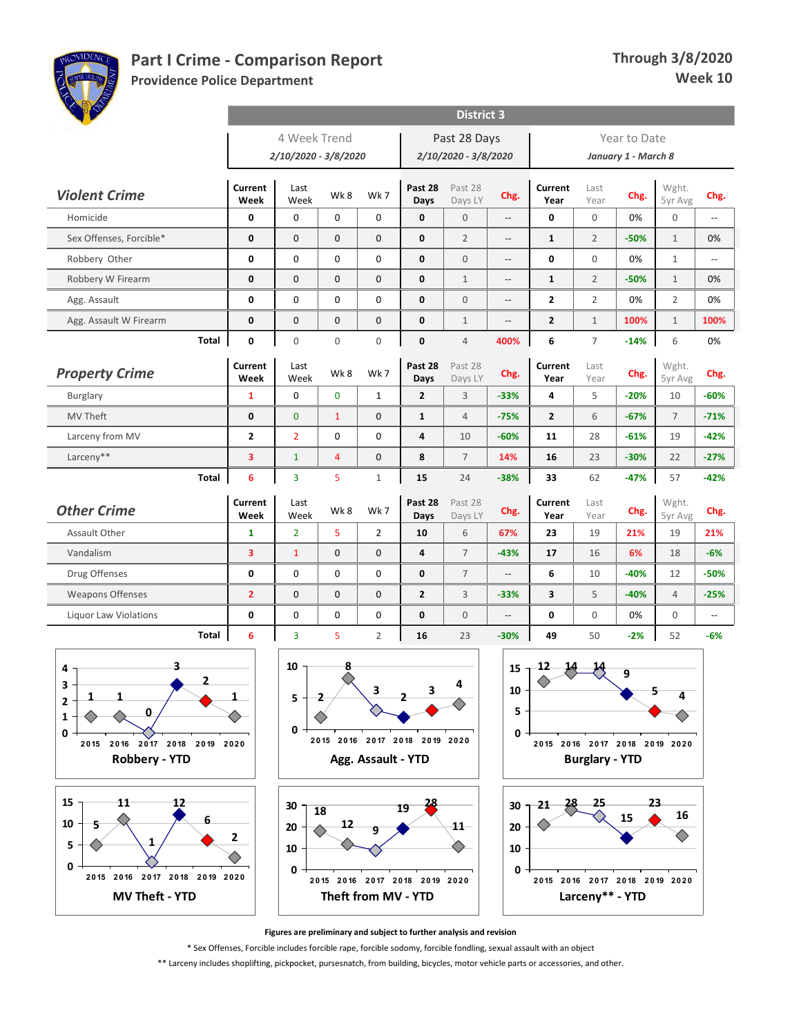

**Providence Police Department**

| <b>OF P</b>                                             |                        |                      |                     |                |                         | <b>District 3</b>    |                          |                 |                |                     |                  |                |
|---------------------------------------------------------|------------------------|----------------------|---------------------|----------------|-------------------------|----------------------|--------------------------|-----------------|----------------|---------------------|------------------|----------------|
|                                                         |                        | 4 Week Trend         |                     |                |                         | Past 28 Days         |                          |                 |                | Year to Date        |                  |                |
|                                                         |                        | 2/10/2020 - 3/8/2020 |                     |                |                         | 2/10/2020 - 3/8/2020 |                          |                 |                | January 1 - March 8 |                  |                |
| <b>Violent Crime</b>                                    | Current<br>Week        | Last<br>Week         | Wk8                 | Wk7            | Past 28<br>Days         | Past 28<br>Days LY   | Chg.                     | Current<br>Year | Last<br>Year   | Chg.                | Wght.<br>5yr Avg | Chg.           |
| Homicide                                                | $\mathbf 0$            | $\mathbf 0$          | $\mathbf 0$         | 0              | $\mathbf{0}$            | $\overline{0}$       | $\overline{a}$           | 0               | $\mathbf 0$    | 0%                  | $\mathbf 0$      | $\overline{a}$ |
| Sex Offenses, Forcible*                                 | $\mathbf 0$            | $\mathbf 0$          | $\mathbf{0}$        | $\mathbf{0}$   | $\mathbf 0$             | $\overline{2}$       | $-$                      | $\mathbf{1}$    | $\overline{2}$ | $-50%$              | $\mathbf{1}$     | 0%             |
| Robbery Other                                           | $\mathbf 0$            | $\mathbf 0$          | $\Omega$            | 0              | $\mathbf{0}$            | $\Omega$             | --                       | $\mathbf{0}$    | $\Omega$       | 0%                  | $\mathbf{1}$     | Ш,             |
| Robbery W Firearm                                       | $\mathbf 0$            | $\mathbf{0}$         | $\mathbf{0}$        | $\mathbf{0}$   | $\mathbf 0$             | $\mathbf{1}$         | Ξ.                       | $\mathbf{1}$    | $\overline{2}$ | $-50%$              | $\mathbf{1}$     | 0%             |
| Agg. Assault                                            | 0                      | $\mathbf 0$          | $\mathbf 0$         | 0              | $\mathbf 0$             | $\mathbf{0}$         | $-$                      | $\mathbf{2}$    | $\overline{2}$ | 0%                  | $\overline{2}$   | 0%             |
| Agg. Assault W Firearm                                  | 0                      | $\mathbf{0}$         | $\mathbf{0}$        | $\mathbf{0}$   | $\mathbf{0}$            | $\mathbf{1}$         | u.                       | $\overline{2}$  | $\mathbf{1}$   | 100%                | $\mathbf{1}$     | 100%           |
| Total                                                   | $\mathbf 0$            | $\Omega$             | $\Omega$            | $\Omega$       | $\mathbf{0}$            | $\overline{4}$       | 400%                     | 6               | $\overline{7}$ | $-14%$              | 6                | 0%             |
| <b>Property Crime</b>                                   | Current<br>Week        | Last<br>Week         | Wk8                 | Wk7            | Past 28<br>Days         | Past 28<br>Days LY   | Chg.                     | Current<br>Year | Last<br>Year   | Chg.                | Wght.<br>5yr Avg | Chg.           |
| <b>Burglary</b>                                         | $\mathbf{1}$           | $\Omega$             | $\mathbf{0}$        | $\mathbf{1}$   | $\overline{2}$          | 3                    | $-33%$                   | 4               | 5              | $-20%$              | 10               | $-60%$         |
| <b>MV Theft</b>                                         | $\mathbf 0$            | $\mathbf{0}$         | $\mathbf{1}$        | $\mathbf{0}$   | $\mathbf{1}$            | $\overline{4}$       | $-75%$                   | $\overline{2}$  | 6              | $-67%$              | $\overline{7}$   | $-71%$         |
| Larceny from MV                                         | $\overline{2}$         | $\overline{2}$       | $\Omega$            | 0              | $\overline{\mathbf{4}}$ | 10                   | $-60%$                   | 11              | 28             | $-61%$              | 19               | $-42%$         |
| Larceny**                                               | 3                      | $\mathbf{1}$         | $\overline{4}$      | $\mathbf{0}$   | 8                       | $\overline{7}$       | 14%                      | 16              | 23             | $-30%$              | 22               | $-27%$         |
| <b>Total</b>                                            | 6                      | $\overline{3}$       | 5                   | $\mathbf{1}$   | 15                      | 24                   | $-38%$                   | 33              | 62             | $-47%$              | 57               | $-42%$         |
| <b>Other Crime</b>                                      | <b>Current</b><br>Week | Last<br>Week         | Wk8                 | Wk 7           | Past 28<br>Days         | Past 28<br>Days LY   | Chg.                     | Current<br>Year | Last<br>Year   | Chg.                | Wght.<br>5yr Avg | Chg.           |
| Assault Other                                           | $\mathbf{1}$           | $\overline{2}$       | 5                   | $\overline{2}$ | 10                      | 6                    | 67%                      | 23              | 19             | 21%                 | 19               | 21%            |
| Vandalism                                               | 3                      | $\mathbf{1}$         | $\mathbf{0}$        | 0              | $\overline{\mathbf{4}}$ | $\overline{7}$       | $-43%$                   | 17              | 16             | 6%                  | 18               | $-6%$          |
| Drug Offenses                                           | 0                      | $\mathbf 0$          | $\mathbf 0$         | 0              | $\mathbf 0$             | $\overline{7}$       | $\overline{\phantom{a}}$ | 6               | 10             | $-40%$              | 12               | $-50%$         |
| <b>Weapons Offenses</b>                                 | $\overline{2}$         | $\mathbf 0$          | $\mathbf{0}$        | $\mathbf 0$    | $\overline{2}$          | $\overline{3}$       | $-33%$                   | 3               | 5              | $-40%$              | $\overline{4}$   | $-25%$         |
| Liquor Law Violations                                   | $\mathbf 0$            | $\boldsymbol{0}$     | $\pmb{0}$           | 0              | $\mathbf 0$             | $\overline{0}$       | --                       | $\mathbf 0$     | $\mathbf 0$    | 0%                  | $\mathbf{0}$     | u.             |
| Total                                                   | 6                      | $\overline{3}$       | 5                   | $\overline{2}$ | 16                      | 23                   | $-30%$                   | 49              | 50             | $-2%$               | 52               | $-6%$          |
| 3<br>4<br>$\mathbf{z}$<br>3<br>1<br>1<br>$\overline{2}$ | 1                      | 10<br>5              | 8<br>$\overline{2}$ | 3              | 3                       | 4                    | 15<br>10                 | 12<br>14        | 14             | 9                   | 5<br>4           |                |



**0 1**





**Larceny\*\* - YTD 2 0 15 2 0 16 2 0 17 2 0 18 2 0 19 2 0 2 0**

**15**

**23**

**16**

♦

**Figures are preliminary and subject to further analysis and revision**

\* Sex Offenses, Forcible includes forcible rape, forcible sodomy, forcible fondling, sexual assault with an object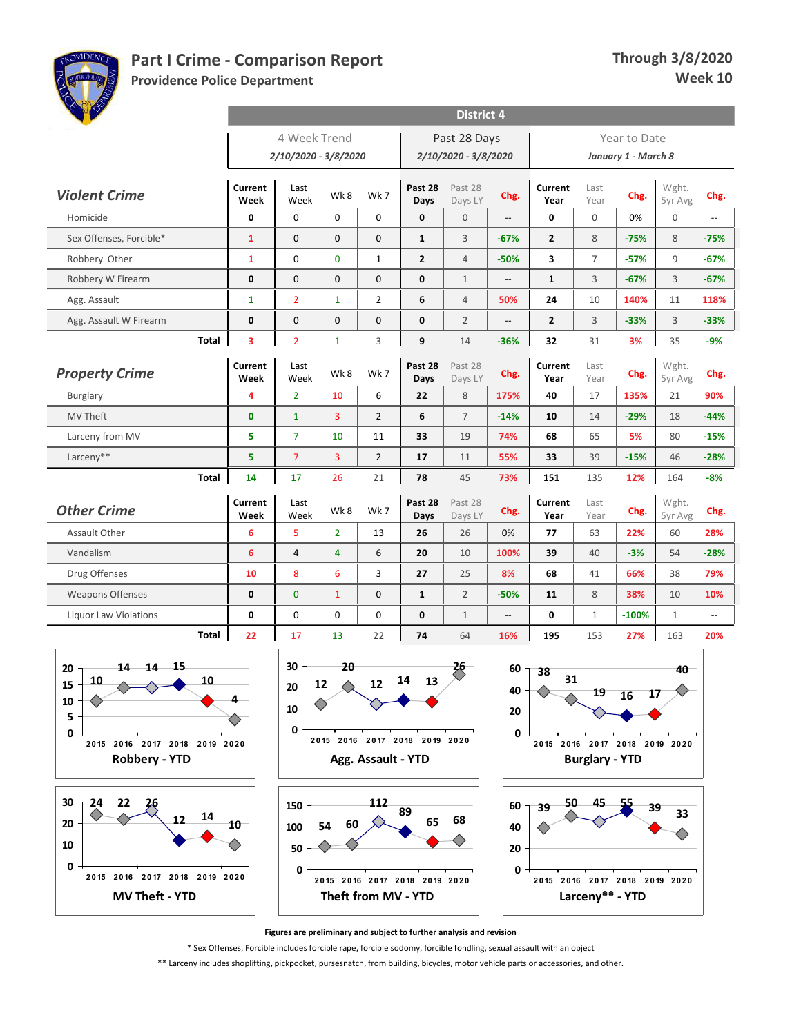

**Providence Police Department**

| <b>AND ROOM</b>                                                 |                        |                                      |                |                    |                               | <b>District 4</b>                    |                |                               |                       |                                     |                  |        |
|-----------------------------------------------------------------|------------------------|--------------------------------------|----------------|--------------------|-------------------------------|--------------------------------------|----------------|-------------------------------|-----------------------|-------------------------------------|------------------|--------|
|                                                                 |                        | 4 Week Trend<br>2/10/2020 - 3/8/2020 |                |                    |                               | Past 28 Days<br>2/10/2020 - 3/8/2020 |                |                               |                       | Year to Date<br>January 1 - March 8 |                  |        |
| <b>Violent Crime</b>                                            | <b>Current</b><br>Week | Last<br>Week                         | Wk8            | Wk7                | Past 28<br>Days               | Past 28<br>Days LY                   | Chg.           | Current<br>Year               | Last<br>Year          | Chg.                                | Wght.<br>5yr Avg | Chg.   |
| Homicide                                                        | 0                      | $\mathbf 0$                          | $\mathbf 0$    | 0                  | $\mathbf 0$                   | $\mathbf 0$                          | --             | 0                             | $\mathbf{0}$          | 0%                                  | $\boldsymbol{0}$ | Ξ.     |
| Sex Offenses, Forcible*                                         | $\mathbf{1}$           | $\mathbf{0}$                         | $\mathbf 0$    | 0                  | $\mathbf{1}$                  | 3                                    | $-67%$         | $\overline{2}$                | 8                     | $-75%$                              | 8                | $-75%$ |
| Robbery Other                                                   | 1                      | $\mathbf 0$                          | $\mathbf{0}$   | $\mathbf{1}$       | $\overline{2}$                | $\overline{4}$                       | $-50%$         | 3                             | $\overline{7}$        | $-57%$                              | 9                | $-67%$ |
| Robbery W Firearm                                               | 0                      | $\mathbf 0$                          | $\mathbf 0$    | 0                  | $\mathbf 0$                   | $\mathbf{1}$                         | --             | $\mathbf{1}$                  | 3                     | $-67%$                              | 3                | $-67%$ |
| Agg. Assault                                                    | $\mathbf{1}$           | $\overline{2}$                       | $\mathbf{1}$   | $\overline{2}$     | 6                             | $\overline{4}$                       | 50%            | 24                            | 10                    | 140%                                | 11               | 118%   |
| Agg. Assault W Firearm                                          | 0                      | $\mathbf 0$                          | $\mathbf{0}$   | 0                  | $\mathbf 0$                   | $\overline{2}$                       |                | $\mathbf{2}$                  | 3                     | $-33%$                              | 3                | $-33%$ |
| Total                                                           | 3                      | $\overline{2}$                       | $\mathbf{1}$   | 3                  | 9                             | 14                                   | $-36%$         | 32                            | 31                    | 3%                                  | 35               | $-9%$  |
| <b>Property Crime</b>                                           | Current<br>Week        | Last<br>Week                         | Wk8            | Wk 7               | Past 28<br>Days               | Past 28<br>Days LY                   | Chg.           | Current<br>Year               | Last<br>Year          | Chg.                                | Wght.<br>5yr Avg | Chg.   |
| Burglary                                                        | 4                      | $\overline{2}$                       | 10             | 6                  | 22                            | 8                                    | 175%           | 40                            | 17                    | 135%                                | 21               | 90%    |
| MV Theft                                                        | $\mathbf 0$            | $\mathbf{1}$                         | 3              | $\overline{2}$     | 6                             | $\overline{7}$                       | $-14%$         | 10                            | 14                    | $-29%$                              | 18               | $-44%$ |
| Larceny from MV                                                 | 5                      | $\overline{7}$                       | 10             | 11                 | 33                            | 19                                   | 74%            | 68                            | 65                    | 5%                                  | 80               | $-15%$ |
| Larceny**                                                       | 5                      | $\overline{7}$                       | 3              | $\overline{2}$     | 17                            | 11                                   | 55%            | 33                            | 39                    | $-15%$                              | 46               | $-28%$ |
| Total                                                           | 14                     | 17                                   | 26             | 21                 | 78                            | 45                                   | 73%            | 151                           | 135                   | 12%                                 | 164              | $-8%$  |
| <b>Other Crime</b>                                              | Current<br>Week        | Last<br>Week                         | Wk8            | Wk 7               | Past 28<br>Days               | Past 28<br>Days LY                   | Chg.           | Current<br>Year               | Last<br>Year          | Chg.                                | Wght.<br>5yr Avg | Chg.   |
| Assault Other                                                   | 6                      | 5                                    | $\overline{2}$ | 13                 | 26                            | 26                                   | 0%             | 77                            | 63                    | 22%                                 | 60               | 28%    |
| Vandalism                                                       | 6                      | $\overline{4}$                       | 4              | 6                  | 20                            | 10                                   | 100%           | 39                            | 40                    | $-3%$                               | 54               | $-28%$ |
| Drug Offenses                                                   | 10                     | 8                                    | 6              | 3                  | 27                            | 25                                   | 8%             | 68                            | 41                    | 66%                                 | 38               | 79%    |
| <b>Weapons Offenses</b>                                         | 0                      | $\mathbf{0}$                         | $\mathbf{1}$   | 0                  | $\mathbf{1}$                  | $\overline{2}$                       | $-50%$         | 11                            | 8                     | 38%                                 | 10               | 10%    |
| <b>Liquor Law Violations</b>                                    | 0                      | 0                                    | 0              | 0                  | 0                             | $\mathbf{1}$                         | --             | 0                             | $\mathbf{1}$          | $-100%$                             | $\mathbf{1}$     | Ξ.     |
| Total                                                           | 22                     | 17                                   | 13             | 22                 | 74                            | 64                                   | 16%            | 195                           | 153                   | 27%                                 | 163              | 20%    |
| $14$ $14$ $15$<br>20<br>10<br>10<br>$15 -$<br>$\triangle$<br>10 |                        | 30<br>${\bf 20}$<br>10               | 20<br>12<br>△  | 12                 | 14<br>13                      | $\frac{26}{5}$                       | 60<br>40<br>20 | 38<br>31                      | 19                    | 17<br>16                            | 40<br>△          |        |
| 5<br>0<br>2015 2016 2017 2018 2019 2020<br><b>Robbery - YTD</b> |                        | 0                                    |                | Agg. Assault - YTD | 2015 2016 2017 2018 2019 2020 |                                      | 0 -            | 2015 2016 2017 2018 2019 2020 | <b>Burglary - YTD</b> |                                     |                  |        |
| 30<br>24<br>22<br>26<br>14<br>12<br>20                          | 10                     | 150<br>100                           | - 60<br>-54    | 112                | 89<br>65                      | 68                                   | 40             | 50<br>$60 - 39$               | 45                    | 39                                  | 33               |        |





⌒ **0 2 0 15 2 0 16 2 0 17 2 0 18 2 0 19 2 0 2 0 Larceny\*\* - YTD**

**Figures are preliminary and subject to further analysis and revision**

\* Sex Offenses, Forcible includes forcible rape, forcible sodomy, forcible fondling, sexual assault with an object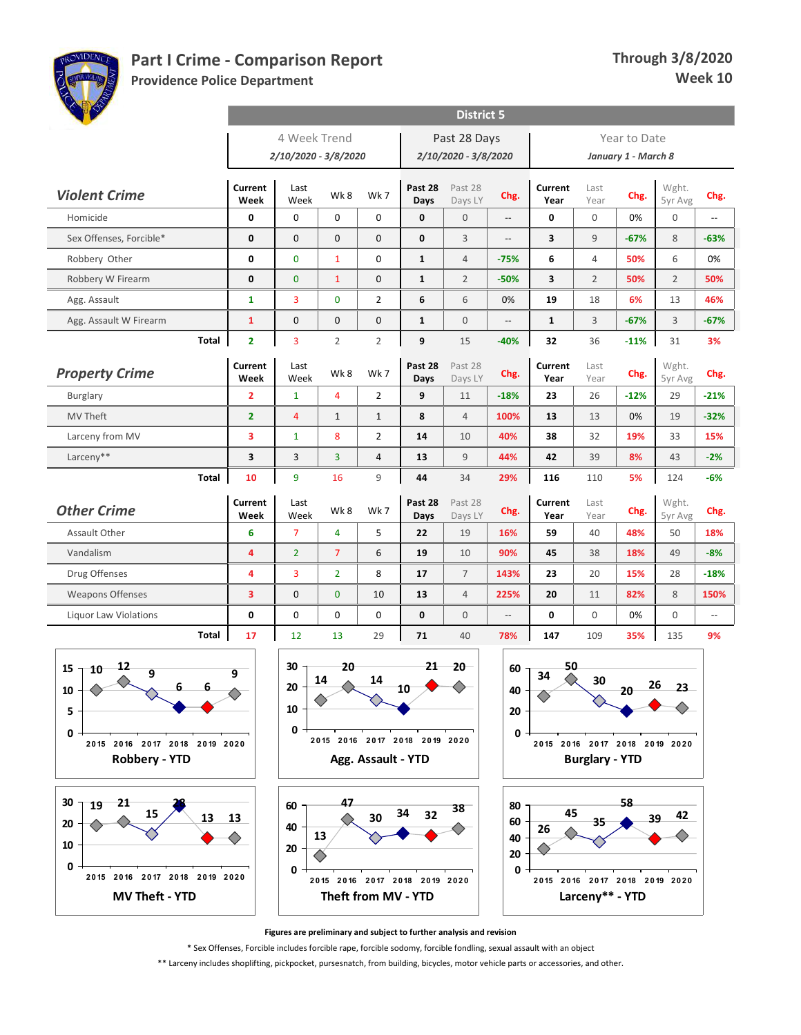

**Providence Police Department**

| <b>AND AND</b>                     | <b>District 5</b>                                                       |                                                                                                                     |                |                    |                               |                    |        |                               |                               |        |                  |        |  |  |
|------------------------------------|-------------------------------------------------------------------------|---------------------------------------------------------------------------------------------------------------------|----------------|--------------------|-------------------------------|--------------------|--------|-------------------------------|-------------------------------|--------|------------------|--------|--|--|
|                                    |                                                                         | 4 Week Trend<br>Past 28 Days<br>Year to Date<br>2/10/2020 - 3/8/2020<br>2/10/2020 - 3/8/2020<br>January 1 - March 8 |                |                    |                               |                    |        |                               |                               |        |                  |        |  |  |
|                                    |                                                                         |                                                                                                                     |                |                    |                               |                    |        |                               |                               |        |                  |        |  |  |
| <b>Violent Crime</b>               | Current<br>Week                                                         | Last<br>Week                                                                                                        | Wk8            | Wk 7               | Past 28<br>Days               | Past 28<br>Days LY | Chg.   | Current<br>Year               | Last<br>Year                  | Chg.   | Wght.<br>5yr Avg | Chg.   |  |  |
| Homicide                           | 0                                                                       | $\mathbf 0$                                                                                                         | $\mathbf 0$    | 0                  | $\mathbf 0$                   | $\mathbf{0}$       | $-$    | 0                             | $\mathbf 0$                   | 0%     | $\boldsymbol{0}$ | Ξ.     |  |  |
| Sex Offenses, Forcible*            | 0                                                                       | $\mathbf{0}$                                                                                                        | $\mathbf{0}$   | $\mathbf{0}$       | $\mathbf 0$                   | $\overline{3}$     | --     | 3                             | $\overline{9}$                | $-67%$ | 8                | $-63%$ |  |  |
| Robbery Other                      | 0                                                                       | $\mathbf{0}$                                                                                                        | $\mathbf{1}$   | 0                  | $\mathbf{1}$                  | $\overline{4}$     | $-75%$ | 6                             | $\overline{4}$                | 50%    | 6                | 0%     |  |  |
| Robbery W Firearm                  | 0                                                                       | $\bf{0}$                                                                                                            | $\mathbf{1}$   | 0                  | 1                             | $\overline{2}$     | $-50%$ | 3                             | $\overline{2}$                | 50%    | $\overline{2}$   | 50%    |  |  |
| Agg. Assault                       | 1                                                                       | 3                                                                                                                   | $\mathbf 0$    | $\overline{2}$     | 6                             | 6                  | 0%     | 19                            | 18                            | 6%     | 13               | 46%    |  |  |
| Agg. Assault W Firearm             | $\mathbf{1}$                                                            | $\mathbf 0$                                                                                                         | $\mathbf 0$    | 0                  | $\mathbf{1}$                  | $\mathbf 0$        | --     | $\mathbf{1}$                  | 3                             | $-67%$ | 3                | $-67%$ |  |  |
| Total                              | $\overline{2}$                                                          | $\overline{3}$                                                                                                      | $\overline{2}$ | $\overline{2}$     | 9                             | 15                 | $-40%$ | 32                            | 36                            | $-11%$ | 31               | 3%     |  |  |
| <b>Property Crime</b>              | Current<br>Week                                                         | Last<br>Week                                                                                                        | Wk8            | Wk 7               | Past 28<br>Days               | Past 28<br>Days LY | Chg.   | Current<br>Year               | Last<br>Year                  | Chg.   | Wght.<br>5yr Avg | Chg.   |  |  |
| Burglary                           | $\overline{2}$                                                          | $\mathbf{1}$                                                                                                        | $\overline{4}$ | $\overline{2}$     | 9                             | 11                 | $-18%$ | 23                            | 26                            | $-12%$ | 29               | $-21%$ |  |  |
| <b>MV Theft</b>                    | $\overline{2}$                                                          | $\overline{4}$                                                                                                      | $\mathbf{1}$   | $\mathbf{1}$       | 8                             | $\overline{4}$     | 100%   | 13                            | 13                            | 0%     | 19               | $-32%$ |  |  |
| Larceny from MV                    | 3                                                                       | $\mathbf{1}$                                                                                                        | 8              | 2                  | 14                            | 10                 | 40%    | 38                            | 32                            | 19%    | 33               | 15%    |  |  |
| Larceny**                          | 3                                                                       | 3                                                                                                                   | 3              | 4                  | 13                            | $\overline{9}$     | 44%    | 42                            | 39                            | 8%     | 43               | $-2%$  |  |  |
| Total                              | 10                                                                      | 9                                                                                                                   | 16             | 9                  | 44                            | 34                 | 29%    | 116                           | 110                           | 5%     | 124              | $-6%$  |  |  |
| <b>Other Crime</b>                 | Current<br>Week                                                         | Last<br>Week                                                                                                        | Wk8            | Wk 7               | Past 28<br>Days               | Past 28<br>Days LY | Chg.   | Current<br>Year               | Last<br>Year                  | Chg.   | Wght.<br>5yr Avg | Chg.   |  |  |
| Assault Other                      | 6                                                                       | $\overline{7}$                                                                                                      | 4              | 5                  | 22                            | 19                 | 16%    | 59                            | 40                            | 48%    | 50               | 18%    |  |  |
| Vandalism                          | 4                                                                       | $\overline{2}$                                                                                                      | $\overline{7}$ | 6                  | 19                            | 10                 | 90%    | 45                            | 38                            | 18%    | 49               | $-8%$  |  |  |
| Drug Offenses                      | 4                                                                       | 3                                                                                                                   | $\overline{2}$ | 8                  | 17                            | $\overline{7}$     | 143%   | 23                            | 20                            | 15%    | 28               | $-18%$ |  |  |
| <b>Weapons Offenses</b>            | 3                                                                       | $\mathbf 0$                                                                                                         | $\mathbf{0}$   | 10                 | 13                            | $\overline{4}$     | 225%   | 20                            | 11                            | 82%    | 8                | 150%   |  |  |
| <b>Liquor Law Violations</b>       | 0                                                                       | $\mathbf 0$                                                                                                         | $\mathbf 0$    | 0                  | $\mathbf 0$                   | $\mathbf{0}$       | --     | 0                             | $\mathbf{0}$                  | 0%     | 0                | Ξ.     |  |  |
| Total                              | 17                                                                      | 12                                                                                                                  | 13             | 29                 | 71                            | 40                 | 78%    | 147                           | 109                           | 35%    | 135              | 9%     |  |  |
| $10 - 12$                          |                                                                         | 30                                                                                                                  | 20             |                    | $21 -$                        | $20 -$             |        | 50                            |                               |        |                  |        |  |  |
| 15<br>9<br>$6 -$<br>$6 -$          | 9                                                                       | 20                                                                                                                  | 14             | 14                 | 10                            | ◇                  | 60     | 34<br>◇                       | 30                            | $20 -$ | 26<br>23         |        |  |  |
| $10 -$                             |                                                                         | 10                                                                                                                  |                |                    |                               |                    | 40     |                               |                               |        |                  |        |  |  |
| 5                                  |                                                                         | 0                                                                                                                   |                |                    |                               |                    | 20     |                               |                               |        |                  |        |  |  |
| 0<br>2015 2016 2017 2018 2019 2020 |                                                                         |                                                                                                                     |                |                    | 2015 2016 2017 2018 2019 2020 |                    | 0      |                               | 2015 2016 2017 2018 2019 2020 |        |                  |        |  |  |
| <b>Robbery - YTD</b>               |                                                                         |                                                                                                                     |                | Agg. Assault - YTD |                               |                    |        |                               | <b>Burglary - YTD</b>         |        |                  |        |  |  |
| 30<br>21<br>19                     | 47<br>58<br>60<br>80                                                    |                                                                                                                     |                |                    |                               |                    |        |                               |                               |        |                  |        |  |  |
| 13<br>20                           | 38<br>34<br>45<br>32<br>42<br>13<br>30<br>$39-$<br>60<br>35<br>40<br>26 |                                                                                                                     |                |                    |                               |                    |        |                               |                               |        |                  |        |  |  |
| 10                                 |                                                                         | 13<br>40                                                                                                            |                |                    |                               |                    |        |                               |                               |        |                  |        |  |  |
| 0                                  |                                                                         | 20<br>20                                                                                                            |                |                    |                               |                    |        |                               |                               |        |                  |        |  |  |
| 2015 2016 2017 2018 2019 2020      |                                                                         | 0                                                                                                                   |                |                    | 2015 2016 2017 2018 2019 2020 | 0                  |        | 2015 2016 2017 2018 2019 2020 |                               |        |                  |        |  |  |
| <b>MV Theft - YTD</b>              |                                                                         | Theft from MV - YTD                                                                                                 |                |                    |                               |                    |        | Larceny** - YTD               |                               |        |                  |        |  |  |

**Figures are preliminary and subject to further analysis and revision**

\* Sex Offenses, Forcible includes forcible rape, forcible sodomy, forcible fondling, sexual assault with an object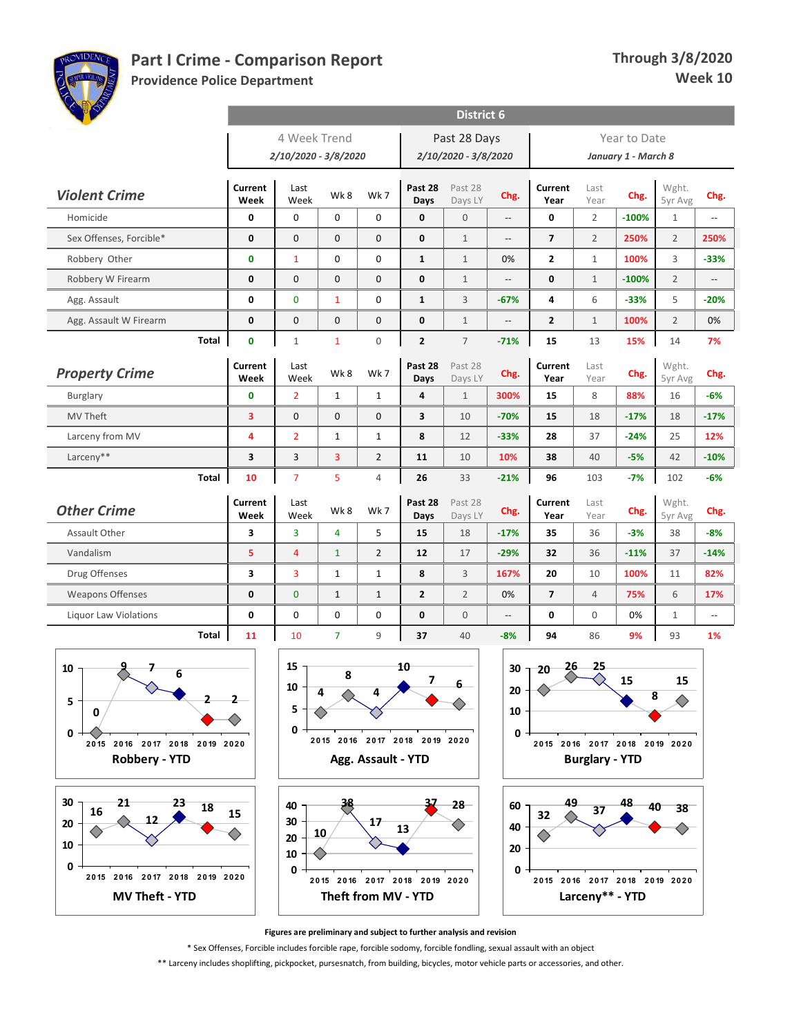

**Providence Police Department**

| <b>AND AND</b>                     |                                                      |                        |                     |                    |                               | <b>District 6</b>       |                          |                                                  |                       |                     |                  |                          |  |
|------------------------------------|------------------------------------------------------|------------------------|---------------------|--------------------|-------------------------------|-------------------------|--------------------------|--------------------------------------------------|-----------------------|---------------------|------------------|--------------------------|--|
|                                    |                                                      | 4 Week Trend           |                     |                    |                               | Past 28 Days            |                          |                                                  |                       | Year to Date        |                  |                          |  |
|                                    |                                                      | 2/10/2020 - 3/8/2020   |                     |                    |                               | 2/10/2020 - 3/8/2020    |                          |                                                  |                       | January 1 - March 8 |                  |                          |  |
| <b>Violent Crime</b>               | Current<br>Week                                      | Last<br>Week           | Wk8                 | Wk7                | Past 28<br>Days               | Past 28<br>Days LY      | Chg.                     | Current<br>Year                                  | Last<br>Year          | Chg.                | Wght.<br>5yr Avg | Chg.                     |  |
| Homicide                           | 0                                                    | $\mathbf 0$            | 0                   | 0                  | 0                             | $\mathbf{0}$            | $\overline{\phantom{a}}$ | 0                                                | $\overline{2}$        | $-100%$             | $\mathbf{1}$     | Ξ.                       |  |
| Sex Offenses, Forcible*            | 0                                                    | $\mathbf 0$            | $\mathbf 0$         | 0                  | 0                             | $\mathbf{1}$            | $\overline{a}$           | $\overline{7}$                                   | $\overline{2}$        | 250%                | $\overline{2}$   | 250%                     |  |
| Robbery Other                      | 0                                                    | $\mathbf{1}$           | $\mathbf 0$         | 0                  | $\mathbf{1}$                  | $\mathbf{1}$            | 0%                       | $\overline{2}$                                   | $\mathbf{1}$          | 100%                | 3                | $-33%$                   |  |
| Robbery W Firearm                  | 0                                                    | $\mathbf 0$            | $\mathbf 0$         | 0                  | 0                             | $\mathbf{1}$            | $\overline{\phantom{a}}$ | 0                                                | $\mathbf{1}$          | $-100%$             | $\overline{2}$   | $\overline{\phantom{a}}$ |  |
| Agg. Assault                       | 0                                                    | $\mathbf 0$            | $\mathbf{1}$        | 0                  | $\mathbf{1}$                  | 3                       | $-67%$                   | 4                                                | 6                     | $-33%$              | 5                | $-20%$                   |  |
| Agg. Assault W Firearm             | 0                                                    | $\mathbf 0$            | $\mathbf 0$         | $\boldsymbol{0}$   | 0                             | $1\,$                   | $\overline{\phantom{a}}$ | $\mathbf{2}$                                     | $1\,$                 | 100%                | $\overline{2}$   | 0%                       |  |
| Total                              | $\mathbf{0}$                                         | $\mathbf{1}$           | $\mathbf{1}$        | 0                  | $\mathbf{2}$                  | $\overline{7}$          | $-71%$                   | 15                                               | 13                    | 15%                 | 14               | 7%                       |  |
| <b>Property Crime</b>              | Current                                              | Last                   | Wk8                 | Wk 7               | Past 28                       | Past 28                 | Chg.                     | Current                                          | Last                  | Chg.                | Wght.            | Chg.                     |  |
| <b>Burglary</b>                    | Week<br>$\mathbf{0}$                                 | Week<br>$\overline{2}$ | $\mathbf{1}$        | $\mathbf{1}$       | Days<br>4                     | Days LY<br>$\mathbf{1}$ | 300%                     | Year<br>15                                       | Year<br>8             | 88%                 | 5yr Avg<br>16    | $-6%$                    |  |
| MV Theft                           | 3                                                    | $\mathbf 0$            | $\mathbf{0}$        | 0                  | 3                             | 10                      | $-70%$                   | 15                                               | 18                    | $-17%$              | 18               | $-17%$                   |  |
| Larceny from MV                    | 4                                                    | $\overline{2}$         | $\mathbf{1}$        | $\mathbf{1}$       | 8                             | 12                      | $-33%$                   | 28                                               | 37                    | $-24%$              | 25               | 12%                      |  |
| Larceny**                          | 3                                                    | 3                      | 3                   | $\overline{2}$     | 11                            | 10                      | 10%                      | 38                                               | 40                    | $-5%$               | 42               | $-10%$                   |  |
| Total                              | 10                                                   | $\overline{7}$         | 5                   | $\overline{4}$     | 26                            | 33                      | $-21%$                   | 96                                               | 103                   | $-7%$               | 102              | $-6%$                    |  |
|                                    | Current                                              |                        |                     |                    | Past 28                       |                         |                          |                                                  |                       |                     | Wght.            |                          |  |
| <b>Other Crime</b>                 | Week                                                 | Last<br>Week           | Wk8                 | Wk7                | Days                          | Past 28<br>Days LY      | Chg.                     | Current<br>Year                                  | Last<br>Year          | Chg.                | 5yr Avg          | Chg.                     |  |
| Assault Other                      | 3                                                    | 3                      | 4                   | 5                  | 15                            | 18                      | $-17%$                   | 35                                               | 36                    | $-3%$               | 38               | $-8%$                    |  |
| Vandalism                          | 5                                                    | $\overline{4}$         | $\mathbf{1}$        | $\overline{2}$     | 12                            | 17                      | $-29%$                   | 32                                               | 36                    | $-11%$              | 37               | $-14%$                   |  |
| Drug Offenses                      | 3                                                    | 3                      | $\mathbf{1}$        | $\mathbf{1}$       | 8                             | 3                       | 167%                     | 20                                               | 10                    | 100%                | 11               | 82%                      |  |
| <b>Weapons Offenses</b>            | 0                                                    | $\mathbf{0}$           | $\mathbf{1}$        | $\mathbf{1}$       | $\overline{2}$                | $\overline{2}$          | 0%                       | $\overline{7}$                                   | $\overline{4}$        | 75%                 | 6                | 17%                      |  |
| <b>Liquor Law Violations</b>       | 0                                                    | $\mathbf 0$            | 0                   | 0                  | 0                             | $\mathbf{0}$            | $\overline{\phantom{a}}$ | 0                                                | $\mathbf{0}$          | 0%                  | $\mathbf{1}$     | $\overline{\phantom{a}}$ |  |
| Total                              | 11                                                   | 10                     | $\overline{7}$      | 9                  | 37                            | 40                      | $-8%$                    | 94                                               | 86                    | 9%                  | 93               | 1%                       |  |
| g                                  |                                                      | 15                     |                     |                    | 10                            |                         |                          | 26                                               | 25                    |                     |                  |                          |  |
| 10<br>6                            |                                                      | 10                     | 8                   |                    | 7                             | 6                       | 30                       | 20                                               |                       | 15                  | 15               |                          |  |
| 5                                  | $\mathbf{2}$                                         |                        | $\overline{ }$<br>▴ |                    |                               |                         | 20                       |                                                  |                       |                     | 8                |                          |  |
| 0                                  |                                                      | 5                      |                     |                    |                               |                         | 10                       |                                                  |                       |                     |                  |                          |  |
| 0<br>2015 2016 2017 2018 2019 2020 |                                                      | 0                      |                     |                    | 2015 2016 2017 2018 2019 2020 |                         | 0                        | 2015 2016 2017 2018 2019 2020                    |                       |                     |                  |                          |  |
| <b>Robbery - YTD</b>               |                                                      |                        |                     | Agg. Assault - YTD |                               |                         |                          |                                                  | <b>Burglary - YTD</b> |                     |                  |                          |  |
|                                    |                                                      |                        |                     |                    |                               |                         |                          |                                                  |                       |                     |                  |                          |  |
| 30<br>21<br>23                     |                                                      |                        |                     |                    |                               | 28-                     |                          | 49                                               |                       |                     |                  |                          |  |
| 18<br>16<br>20                     | 15                                                   | 40<br>30               |                     | 17                 |                               |                         | 60                       | 32                                               | 37                    |                     | 40<br>38         |                          |  |
|                                    |                                                      | 20                     | 10                  |                    | 13                            |                         | 40                       |                                                  |                       |                     |                  |                          |  |
| 10                                 |                                                      | 10                     |                     |                    |                               |                         | 20                       |                                                  |                       |                     |                  |                          |  |
| 0<br>2015 2016 2017 2018 2019 2020 |                                                      | 0                      |                     |                    |                               |                         | 0                        |                                                  |                       |                     |                  |                          |  |
| <b>MV Theft - YTD</b>              | 2015 2016 2017 2018 2019 2020<br>Theft from MV - YTD |                        |                     |                    |                               |                         |                          | 2015 2016 2017 2018 2019 2020<br>Larceny** - YTD |                       |                     |                  |                          |  |

**Figures are preliminary and subject to further analysis and revision**

\* Sex Offenses, Forcible includes forcible rape, forcible sodomy, forcible fondling, sexual assault with an object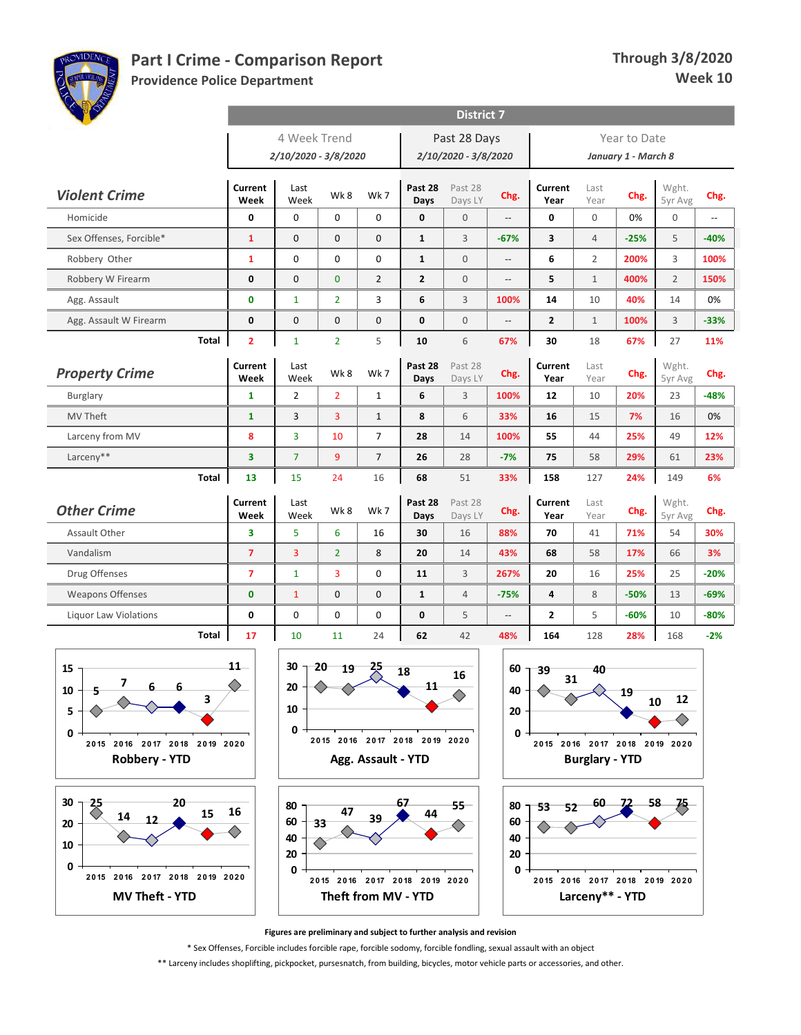

**Providence Police Department**

| 4 Week Trend<br>Past 28 Days<br>Year to Date<br>2/10/2020 - 3/8/2020<br>2/10/2020 - 3/8/2020<br>January 1 - March 8<br><b>Current</b><br>Past 28<br>Wght.<br>Past 28<br>Current<br>Last<br>Last<br><b>Violent Crime</b><br>Wk8<br>Wk 7<br>Chg.<br>Chg.<br>Chg.<br>Week<br>5yr Avg<br>Week<br>Days<br>Days LY<br>Year<br>Year<br>$\mathbf 0$<br>$\pmb{0}$<br>0<br>0<br>$\mathbf 0$<br>Homicide<br>0<br>$\mathbf{0}$<br>0<br>0%<br>$\mathbf 0$<br>Ξ.<br>--<br>$\mathbf 0$<br>0<br>5<br>$-40%$<br>Sex Offenses, Forcible*<br>$\mathbf{1}$<br>$\mathbf 0$<br>$\mathbf{1}$<br>3<br>$-67%$<br>3<br>$\overline{4}$<br>$-25%$<br>$\mathbf 0$<br>$\mathbf 0$<br>0<br>$\mathbf{0}$<br>3<br>Robbery Other<br>$\mathbf{1}$<br>$\mathbf{1}$<br>6<br>$\overline{2}$<br>200%<br>100%<br>$\overline{a}$<br>$\overline{2}$<br>Robbery W Firearm<br>0<br>$\mathbf 0$<br>$\bf{0}$<br>$\overline{2}$<br>$\mathbf{2}$<br>$\mathbf{0}$<br>5<br>$\mathbf{1}$<br>400%<br>150%<br>$\overline{\phantom{a}}$<br>0<br>$\mathbf{1}$<br>$\overline{2}$<br>3<br>6<br>3<br>100%<br>10<br>40%<br>14<br>0%<br>Agg. Assault<br>14<br>$\mathbf 0$<br>$\mathbf 0$<br>3<br>0<br>$\mathbf 0$<br>0<br>0<br>$\mathbf{2}$<br>$\mathbf{1}$<br>100%<br>$-33%$<br>Agg. Assault W Firearm<br>--<br>Total<br>5<br>$\overline{2}$<br>$\mathbf{1}$<br>$\overline{2}$<br>6<br>67%<br>67%<br>27<br>11%<br>10<br>30<br>18<br>Current<br>Past 28<br>Wght.<br>Past 28<br>Current<br>Last<br>Last<br><b>Property Crime</b><br>Wk8<br>Wk7<br>Chg.<br>Chg.<br>Chg.<br>Week<br>Week<br>Days LY<br>Year<br>Year<br>5yr Avg<br>Days<br>$\overline{2}$<br>$-48%$<br>$\mathbf{1}$<br>$\overline{2}$<br>$\mathbf{1}$<br>6<br>3<br>100%<br>12<br>10<br>20%<br>23<br>Burglary<br>$\overline{3}$<br>3<br>8<br>6<br><b>MV Theft</b><br>$\mathbf{1}$<br>$\mathbf{1}$<br>33%<br>16<br>15<br>7%<br>16<br>0%<br>8<br>3<br>$\overline{7}$<br>28<br>100%<br>49<br>12%<br>Larceny from MV<br>10<br>14<br>55<br>44<br>25%<br>Larceny**<br>$\overline{7}$<br>23%<br>3<br>9<br>7<br>26<br>28<br>$-7%$<br>75<br>58<br>29%<br>61<br>Total<br>13<br>15<br>24<br>16<br>68<br>33%<br>158<br>24%<br>149<br>6%<br>51<br>127<br>Wght.<br>Current<br>Past 28<br>Past 28<br>Last<br><b>Current</b><br>Last<br><b>Other Crime</b><br>Wk8<br>Wk7<br>Chg.<br>Chg.<br>Chg.<br>Week<br>Days LY<br>Year<br>Year<br>5yr Avg<br>Week<br>Days<br>3<br>5<br>6<br>30<br>88%<br>70<br>54<br>30%<br>Assault Other<br>16<br>16<br>41<br>71%<br>Vandalism<br>3<br>$\overline{7}$<br>$\overline{2}$<br>8<br>20<br>14<br>43%<br>68<br>58<br>17%<br>66<br>3%<br>$-20%$<br>Drug Offenses<br>7<br>$\mathbf{1}$<br>3<br>0<br>3<br>267%<br>20<br>16<br>25%<br>25<br>11<br>0<br>$-69%$<br><b>Weapons Offenses</b><br>0<br>$\mathbf{1}$<br>$\mathbf 0$<br>$\mathbf{1}$<br>$\overline{4}$<br>$-75%$<br>4<br>8<br>$-50%$<br>13<br>0<br>0<br>$\pmb{0}$<br>0<br>0<br>5<br>5<br>$-60%$<br>10<br>$-80%$<br><b>Liquor Law Violations</b><br>$\mathbf{2}$<br>$\overline{\phantom{a}}$<br>Total<br>17<br>10<br>24<br>11<br>62<br>42<br>48%<br>164<br>128<br>28%<br>168<br>$-2%$<br>11<br>30<br>20<br>$\frac{25}{2}$<br>15<br>19<br>60<br>40<br>39<br>18<br>16<br>31<br>7<br>6<br>$11-$<br>6.<br>$20 +$<br>╱<br>10<br>40<br>19<br>12<br>3<br>10<br>10<br>5<br>20<br>0<br>0<br>0<br>2015 2016 2017 2018 2019 2020<br>2015 2016 2017 2018 2019 2020<br>2015 2016 2017 2018 2019 2020<br><b>Robbery - YTD</b><br>Agg. Assault - YTD<br><b>Burglary - YTD</b><br>30<br>20<br>$\frac{25}{5}$<br>67<br>55<br>60<br>80<br>80<br>53<br>52<br>47<br>16<br>15<br>44<br>14<br>39<br>12<br>60<br>60<br>20<br>33<br>40<br>40<br>10<br>20<br>20<br>0<br>0<br>0<br>2015 2016 2017 2018 2019 2020<br>2015 2016 2017 2018 2019 2020<br>2015 2016 2017 2018 2019 2020<br>Theft from MV - YTD<br>Larceny** - YTD | <b>AND ROAD</b>       |  |  |  |  |  | <b>District 7</b> |  |  |  |  |  |  |
|----------------------------------------------------------------------------------------------------------------------------------------------------------------------------------------------------------------------------------------------------------------------------------------------------------------------------------------------------------------------------------------------------------------------------------------------------------------------------------------------------------------------------------------------------------------------------------------------------------------------------------------------------------------------------------------------------------------------------------------------------------------------------------------------------------------------------------------------------------------------------------------------------------------------------------------------------------------------------------------------------------------------------------------------------------------------------------------------------------------------------------------------------------------------------------------------------------------------------------------------------------------------------------------------------------------------------------------------------------------------------------------------------------------------------------------------------------------------------------------------------------------------------------------------------------------------------------------------------------------------------------------------------------------------------------------------------------------------------------------------------------------------------------------------------------------------------------------------------------------------------------------------------------------------------------------------------------------------------------------------------------------------------------------------------------------------------------------------------------------------------------------------------------------------------------------------------------------------------------------------------------------------------------------------------------------------------------------------------------------------------------------------------------------------------------------------------------------------------------------------------------------------------------------------------------------------------------------------------------------------------------------------------------------------------------------------------------------------------------------------------------------------------------------------------------------------------------------------------------------------------------------------------------------------------------------------------------------------------------------------------------------------------------------------------------------------------------------------------------------------------------------------------------------------------------------------------------------------------------------------------------------------------------------------------------------------------------------------------------------------------------------------------------------------------------------------------------------------------------------------------------------------------------------------------------------------------------------------------------------------------------------------------------------------------------------------------------------------------------------------------------------------|-----------------------|--|--|--|--|--|-------------------|--|--|--|--|--|--|
|                                                                                                                                                                                                                                                                                                                                                                                                                                                                                                                                                                                                                                                                                                                                                                                                                                                                                                                                                                                                                                                                                                                                                                                                                                                                                                                                                                                                                                                                                                                                                                                                                                                                                                                                                                                                                                                                                                                                                                                                                                                                                                                                                                                                                                                                                                                                                                                                                                                                                                                                                                                                                                                                                                                                                                                                                                                                                                                                                                                                                                                                                                                                                                                                                                                                                                                                                                                                                                                                                                                                                                                                                                                                                                                                                                      |                       |  |  |  |  |  |                   |  |  |  |  |  |  |
|                                                                                                                                                                                                                                                                                                                                                                                                                                                                                                                                                                                                                                                                                                                                                                                                                                                                                                                                                                                                                                                                                                                                                                                                                                                                                                                                                                                                                                                                                                                                                                                                                                                                                                                                                                                                                                                                                                                                                                                                                                                                                                                                                                                                                                                                                                                                                                                                                                                                                                                                                                                                                                                                                                                                                                                                                                                                                                                                                                                                                                                                                                                                                                                                                                                                                                                                                                                                                                                                                                                                                                                                                                                                                                                                                                      |                       |  |  |  |  |  |                   |  |  |  |  |  |  |
|                                                                                                                                                                                                                                                                                                                                                                                                                                                                                                                                                                                                                                                                                                                                                                                                                                                                                                                                                                                                                                                                                                                                                                                                                                                                                                                                                                                                                                                                                                                                                                                                                                                                                                                                                                                                                                                                                                                                                                                                                                                                                                                                                                                                                                                                                                                                                                                                                                                                                                                                                                                                                                                                                                                                                                                                                                                                                                                                                                                                                                                                                                                                                                                                                                                                                                                                                                                                                                                                                                                                                                                                                                                                                                                                                                      |                       |  |  |  |  |  |                   |  |  |  |  |  |  |
|                                                                                                                                                                                                                                                                                                                                                                                                                                                                                                                                                                                                                                                                                                                                                                                                                                                                                                                                                                                                                                                                                                                                                                                                                                                                                                                                                                                                                                                                                                                                                                                                                                                                                                                                                                                                                                                                                                                                                                                                                                                                                                                                                                                                                                                                                                                                                                                                                                                                                                                                                                                                                                                                                                                                                                                                                                                                                                                                                                                                                                                                                                                                                                                                                                                                                                                                                                                                                                                                                                                                                                                                                                                                                                                                                                      |                       |  |  |  |  |  |                   |  |  |  |  |  |  |
|                                                                                                                                                                                                                                                                                                                                                                                                                                                                                                                                                                                                                                                                                                                                                                                                                                                                                                                                                                                                                                                                                                                                                                                                                                                                                                                                                                                                                                                                                                                                                                                                                                                                                                                                                                                                                                                                                                                                                                                                                                                                                                                                                                                                                                                                                                                                                                                                                                                                                                                                                                                                                                                                                                                                                                                                                                                                                                                                                                                                                                                                                                                                                                                                                                                                                                                                                                                                                                                                                                                                                                                                                                                                                                                                                                      |                       |  |  |  |  |  |                   |  |  |  |  |  |  |
|                                                                                                                                                                                                                                                                                                                                                                                                                                                                                                                                                                                                                                                                                                                                                                                                                                                                                                                                                                                                                                                                                                                                                                                                                                                                                                                                                                                                                                                                                                                                                                                                                                                                                                                                                                                                                                                                                                                                                                                                                                                                                                                                                                                                                                                                                                                                                                                                                                                                                                                                                                                                                                                                                                                                                                                                                                                                                                                                                                                                                                                                                                                                                                                                                                                                                                                                                                                                                                                                                                                                                                                                                                                                                                                                                                      |                       |  |  |  |  |  |                   |  |  |  |  |  |  |
|                                                                                                                                                                                                                                                                                                                                                                                                                                                                                                                                                                                                                                                                                                                                                                                                                                                                                                                                                                                                                                                                                                                                                                                                                                                                                                                                                                                                                                                                                                                                                                                                                                                                                                                                                                                                                                                                                                                                                                                                                                                                                                                                                                                                                                                                                                                                                                                                                                                                                                                                                                                                                                                                                                                                                                                                                                                                                                                                                                                                                                                                                                                                                                                                                                                                                                                                                                                                                                                                                                                                                                                                                                                                                                                                                                      |                       |  |  |  |  |  |                   |  |  |  |  |  |  |
|                                                                                                                                                                                                                                                                                                                                                                                                                                                                                                                                                                                                                                                                                                                                                                                                                                                                                                                                                                                                                                                                                                                                                                                                                                                                                                                                                                                                                                                                                                                                                                                                                                                                                                                                                                                                                                                                                                                                                                                                                                                                                                                                                                                                                                                                                                                                                                                                                                                                                                                                                                                                                                                                                                                                                                                                                                                                                                                                                                                                                                                                                                                                                                                                                                                                                                                                                                                                                                                                                                                                                                                                                                                                                                                                                                      |                       |  |  |  |  |  |                   |  |  |  |  |  |  |
|                                                                                                                                                                                                                                                                                                                                                                                                                                                                                                                                                                                                                                                                                                                                                                                                                                                                                                                                                                                                                                                                                                                                                                                                                                                                                                                                                                                                                                                                                                                                                                                                                                                                                                                                                                                                                                                                                                                                                                                                                                                                                                                                                                                                                                                                                                                                                                                                                                                                                                                                                                                                                                                                                                                                                                                                                                                                                                                                                                                                                                                                                                                                                                                                                                                                                                                                                                                                                                                                                                                                                                                                                                                                                                                                                                      |                       |  |  |  |  |  |                   |  |  |  |  |  |  |
|                                                                                                                                                                                                                                                                                                                                                                                                                                                                                                                                                                                                                                                                                                                                                                                                                                                                                                                                                                                                                                                                                                                                                                                                                                                                                                                                                                                                                                                                                                                                                                                                                                                                                                                                                                                                                                                                                                                                                                                                                                                                                                                                                                                                                                                                                                                                                                                                                                                                                                                                                                                                                                                                                                                                                                                                                                                                                                                                                                                                                                                                                                                                                                                                                                                                                                                                                                                                                                                                                                                                                                                                                                                                                                                                                                      |                       |  |  |  |  |  |                   |  |  |  |  |  |  |
|                                                                                                                                                                                                                                                                                                                                                                                                                                                                                                                                                                                                                                                                                                                                                                                                                                                                                                                                                                                                                                                                                                                                                                                                                                                                                                                                                                                                                                                                                                                                                                                                                                                                                                                                                                                                                                                                                                                                                                                                                                                                                                                                                                                                                                                                                                                                                                                                                                                                                                                                                                                                                                                                                                                                                                                                                                                                                                                                                                                                                                                                                                                                                                                                                                                                                                                                                                                                                                                                                                                                                                                                                                                                                                                                                                      |                       |  |  |  |  |  |                   |  |  |  |  |  |  |
|                                                                                                                                                                                                                                                                                                                                                                                                                                                                                                                                                                                                                                                                                                                                                                                                                                                                                                                                                                                                                                                                                                                                                                                                                                                                                                                                                                                                                                                                                                                                                                                                                                                                                                                                                                                                                                                                                                                                                                                                                                                                                                                                                                                                                                                                                                                                                                                                                                                                                                                                                                                                                                                                                                                                                                                                                                                                                                                                                                                                                                                                                                                                                                                                                                                                                                                                                                                                                                                                                                                                                                                                                                                                                                                                                                      |                       |  |  |  |  |  |                   |  |  |  |  |  |  |
|                                                                                                                                                                                                                                                                                                                                                                                                                                                                                                                                                                                                                                                                                                                                                                                                                                                                                                                                                                                                                                                                                                                                                                                                                                                                                                                                                                                                                                                                                                                                                                                                                                                                                                                                                                                                                                                                                                                                                                                                                                                                                                                                                                                                                                                                                                                                                                                                                                                                                                                                                                                                                                                                                                                                                                                                                                                                                                                                                                                                                                                                                                                                                                                                                                                                                                                                                                                                                                                                                                                                                                                                                                                                                                                                                                      |                       |  |  |  |  |  |                   |  |  |  |  |  |  |
|                                                                                                                                                                                                                                                                                                                                                                                                                                                                                                                                                                                                                                                                                                                                                                                                                                                                                                                                                                                                                                                                                                                                                                                                                                                                                                                                                                                                                                                                                                                                                                                                                                                                                                                                                                                                                                                                                                                                                                                                                                                                                                                                                                                                                                                                                                                                                                                                                                                                                                                                                                                                                                                                                                                                                                                                                                                                                                                                                                                                                                                                                                                                                                                                                                                                                                                                                                                                                                                                                                                                                                                                                                                                                                                                                                      |                       |  |  |  |  |  |                   |  |  |  |  |  |  |
|                                                                                                                                                                                                                                                                                                                                                                                                                                                                                                                                                                                                                                                                                                                                                                                                                                                                                                                                                                                                                                                                                                                                                                                                                                                                                                                                                                                                                                                                                                                                                                                                                                                                                                                                                                                                                                                                                                                                                                                                                                                                                                                                                                                                                                                                                                                                                                                                                                                                                                                                                                                                                                                                                                                                                                                                                                                                                                                                                                                                                                                                                                                                                                                                                                                                                                                                                                                                                                                                                                                                                                                                                                                                                                                                                                      |                       |  |  |  |  |  |                   |  |  |  |  |  |  |
|                                                                                                                                                                                                                                                                                                                                                                                                                                                                                                                                                                                                                                                                                                                                                                                                                                                                                                                                                                                                                                                                                                                                                                                                                                                                                                                                                                                                                                                                                                                                                                                                                                                                                                                                                                                                                                                                                                                                                                                                                                                                                                                                                                                                                                                                                                                                                                                                                                                                                                                                                                                                                                                                                                                                                                                                                                                                                                                                                                                                                                                                                                                                                                                                                                                                                                                                                                                                                                                                                                                                                                                                                                                                                                                                                                      |                       |  |  |  |  |  |                   |  |  |  |  |  |  |
|                                                                                                                                                                                                                                                                                                                                                                                                                                                                                                                                                                                                                                                                                                                                                                                                                                                                                                                                                                                                                                                                                                                                                                                                                                                                                                                                                                                                                                                                                                                                                                                                                                                                                                                                                                                                                                                                                                                                                                                                                                                                                                                                                                                                                                                                                                                                                                                                                                                                                                                                                                                                                                                                                                                                                                                                                                                                                                                                                                                                                                                                                                                                                                                                                                                                                                                                                                                                                                                                                                                                                                                                                                                                                                                                                                      |                       |  |  |  |  |  |                   |  |  |  |  |  |  |
|                                                                                                                                                                                                                                                                                                                                                                                                                                                                                                                                                                                                                                                                                                                                                                                                                                                                                                                                                                                                                                                                                                                                                                                                                                                                                                                                                                                                                                                                                                                                                                                                                                                                                                                                                                                                                                                                                                                                                                                                                                                                                                                                                                                                                                                                                                                                                                                                                                                                                                                                                                                                                                                                                                                                                                                                                                                                                                                                                                                                                                                                                                                                                                                                                                                                                                                                                                                                                                                                                                                                                                                                                                                                                                                                                                      |                       |  |  |  |  |  |                   |  |  |  |  |  |  |
|                                                                                                                                                                                                                                                                                                                                                                                                                                                                                                                                                                                                                                                                                                                                                                                                                                                                                                                                                                                                                                                                                                                                                                                                                                                                                                                                                                                                                                                                                                                                                                                                                                                                                                                                                                                                                                                                                                                                                                                                                                                                                                                                                                                                                                                                                                                                                                                                                                                                                                                                                                                                                                                                                                                                                                                                                                                                                                                                                                                                                                                                                                                                                                                                                                                                                                                                                                                                                                                                                                                                                                                                                                                                                                                                                                      |                       |  |  |  |  |  |                   |  |  |  |  |  |  |
|                                                                                                                                                                                                                                                                                                                                                                                                                                                                                                                                                                                                                                                                                                                                                                                                                                                                                                                                                                                                                                                                                                                                                                                                                                                                                                                                                                                                                                                                                                                                                                                                                                                                                                                                                                                                                                                                                                                                                                                                                                                                                                                                                                                                                                                                                                                                                                                                                                                                                                                                                                                                                                                                                                                                                                                                                                                                                                                                                                                                                                                                                                                                                                                                                                                                                                                                                                                                                                                                                                                                                                                                                                                                                                                                                                      |                       |  |  |  |  |  |                   |  |  |  |  |  |  |
|                                                                                                                                                                                                                                                                                                                                                                                                                                                                                                                                                                                                                                                                                                                                                                                                                                                                                                                                                                                                                                                                                                                                                                                                                                                                                                                                                                                                                                                                                                                                                                                                                                                                                                                                                                                                                                                                                                                                                                                                                                                                                                                                                                                                                                                                                                                                                                                                                                                                                                                                                                                                                                                                                                                                                                                                                                                                                                                                                                                                                                                                                                                                                                                                                                                                                                                                                                                                                                                                                                                                                                                                                                                                                                                                                                      |                       |  |  |  |  |  |                   |  |  |  |  |  |  |
|                                                                                                                                                                                                                                                                                                                                                                                                                                                                                                                                                                                                                                                                                                                                                                                                                                                                                                                                                                                                                                                                                                                                                                                                                                                                                                                                                                                                                                                                                                                                                                                                                                                                                                                                                                                                                                                                                                                                                                                                                                                                                                                                                                                                                                                                                                                                                                                                                                                                                                                                                                                                                                                                                                                                                                                                                                                                                                                                                                                                                                                                                                                                                                                                                                                                                                                                                                                                                                                                                                                                                                                                                                                                                                                                                                      |                       |  |  |  |  |  |                   |  |  |  |  |  |  |
|                                                                                                                                                                                                                                                                                                                                                                                                                                                                                                                                                                                                                                                                                                                                                                                                                                                                                                                                                                                                                                                                                                                                                                                                                                                                                                                                                                                                                                                                                                                                                                                                                                                                                                                                                                                                                                                                                                                                                                                                                                                                                                                                                                                                                                                                                                                                                                                                                                                                                                                                                                                                                                                                                                                                                                                                                                                                                                                                                                                                                                                                                                                                                                                                                                                                                                                                                                                                                                                                                                                                                                                                                                                                                                                                                                      |                       |  |  |  |  |  |                   |  |  |  |  |  |  |
|                                                                                                                                                                                                                                                                                                                                                                                                                                                                                                                                                                                                                                                                                                                                                                                                                                                                                                                                                                                                                                                                                                                                                                                                                                                                                                                                                                                                                                                                                                                                                                                                                                                                                                                                                                                                                                                                                                                                                                                                                                                                                                                                                                                                                                                                                                                                                                                                                                                                                                                                                                                                                                                                                                                                                                                                                                                                                                                                                                                                                                                                                                                                                                                                                                                                                                                                                                                                                                                                                                                                                                                                                                                                                                                                                                      |                       |  |  |  |  |  |                   |  |  |  |  |  |  |
|                                                                                                                                                                                                                                                                                                                                                                                                                                                                                                                                                                                                                                                                                                                                                                                                                                                                                                                                                                                                                                                                                                                                                                                                                                                                                                                                                                                                                                                                                                                                                                                                                                                                                                                                                                                                                                                                                                                                                                                                                                                                                                                                                                                                                                                                                                                                                                                                                                                                                                                                                                                                                                                                                                                                                                                                                                                                                                                                                                                                                                                                                                                                                                                                                                                                                                                                                                                                                                                                                                                                                                                                                                                                                                                                                                      |                       |  |  |  |  |  |                   |  |  |  |  |  |  |
|                                                                                                                                                                                                                                                                                                                                                                                                                                                                                                                                                                                                                                                                                                                                                                                                                                                                                                                                                                                                                                                                                                                                                                                                                                                                                                                                                                                                                                                                                                                                                                                                                                                                                                                                                                                                                                                                                                                                                                                                                                                                                                                                                                                                                                                                                                                                                                                                                                                                                                                                                                                                                                                                                                                                                                                                                                                                                                                                                                                                                                                                                                                                                                                                                                                                                                                                                                                                                                                                                                                                                                                                                                                                                                                                                                      |                       |  |  |  |  |  |                   |  |  |  |  |  |  |
|                                                                                                                                                                                                                                                                                                                                                                                                                                                                                                                                                                                                                                                                                                                                                                                                                                                                                                                                                                                                                                                                                                                                                                                                                                                                                                                                                                                                                                                                                                                                                                                                                                                                                                                                                                                                                                                                                                                                                                                                                                                                                                                                                                                                                                                                                                                                                                                                                                                                                                                                                                                                                                                                                                                                                                                                                                                                                                                                                                                                                                                                                                                                                                                                                                                                                                                                                                                                                                                                                                                                                                                                                                                                                                                                                                      |                       |  |  |  |  |  |                   |  |  |  |  |  |  |
|                                                                                                                                                                                                                                                                                                                                                                                                                                                                                                                                                                                                                                                                                                                                                                                                                                                                                                                                                                                                                                                                                                                                                                                                                                                                                                                                                                                                                                                                                                                                                                                                                                                                                                                                                                                                                                                                                                                                                                                                                                                                                                                                                                                                                                                                                                                                                                                                                                                                                                                                                                                                                                                                                                                                                                                                                                                                                                                                                                                                                                                                                                                                                                                                                                                                                                                                                                                                                                                                                                                                                                                                                                                                                                                                                                      |                       |  |  |  |  |  |                   |  |  |  |  |  |  |
|                                                                                                                                                                                                                                                                                                                                                                                                                                                                                                                                                                                                                                                                                                                                                                                                                                                                                                                                                                                                                                                                                                                                                                                                                                                                                                                                                                                                                                                                                                                                                                                                                                                                                                                                                                                                                                                                                                                                                                                                                                                                                                                                                                                                                                                                                                                                                                                                                                                                                                                                                                                                                                                                                                                                                                                                                                                                                                                                                                                                                                                                                                                                                                                                                                                                                                                                                                                                                                                                                                                                                                                                                                                                                                                                                                      |                       |  |  |  |  |  |                   |  |  |  |  |  |  |
|                                                                                                                                                                                                                                                                                                                                                                                                                                                                                                                                                                                                                                                                                                                                                                                                                                                                                                                                                                                                                                                                                                                                                                                                                                                                                                                                                                                                                                                                                                                                                                                                                                                                                                                                                                                                                                                                                                                                                                                                                                                                                                                                                                                                                                                                                                                                                                                                                                                                                                                                                                                                                                                                                                                                                                                                                                                                                                                                                                                                                                                                                                                                                                                                                                                                                                                                                                                                                                                                                                                                                                                                                                                                                                                                                                      |                       |  |  |  |  |  |                   |  |  |  |  |  |  |
|                                                                                                                                                                                                                                                                                                                                                                                                                                                                                                                                                                                                                                                                                                                                                                                                                                                                                                                                                                                                                                                                                                                                                                                                                                                                                                                                                                                                                                                                                                                                                                                                                                                                                                                                                                                                                                                                                                                                                                                                                                                                                                                                                                                                                                                                                                                                                                                                                                                                                                                                                                                                                                                                                                                                                                                                                                                                                                                                                                                                                                                                                                                                                                                                                                                                                                                                                                                                                                                                                                                                                                                                                                                                                                                                                                      |                       |  |  |  |  |  |                   |  |  |  |  |  |  |
|                                                                                                                                                                                                                                                                                                                                                                                                                                                                                                                                                                                                                                                                                                                                                                                                                                                                                                                                                                                                                                                                                                                                                                                                                                                                                                                                                                                                                                                                                                                                                                                                                                                                                                                                                                                                                                                                                                                                                                                                                                                                                                                                                                                                                                                                                                                                                                                                                                                                                                                                                                                                                                                                                                                                                                                                                                                                                                                                                                                                                                                                                                                                                                                                                                                                                                                                                                                                                                                                                                                                                                                                                                                                                                                                                                      |                       |  |  |  |  |  |                   |  |  |  |  |  |  |
|                                                                                                                                                                                                                                                                                                                                                                                                                                                                                                                                                                                                                                                                                                                                                                                                                                                                                                                                                                                                                                                                                                                                                                                                                                                                                                                                                                                                                                                                                                                                                                                                                                                                                                                                                                                                                                                                                                                                                                                                                                                                                                                                                                                                                                                                                                                                                                                                                                                                                                                                                                                                                                                                                                                                                                                                                                                                                                                                                                                                                                                                                                                                                                                                                                                                                                                                                                                                                                                                                                                                                                                                                                                                                                                                                                      |                       |  |  |  |  |  |                   |  |  |  |  |  |  |
|                                                                                                                                                                                                                                                                                                                                                                                                                                                                                                                                                                                                                                                                                                                                                                                                                                                                                                                                                                                                                                                                                                                                                                                                                                                                                                                                                                                                                                                                                                                                                                                                                                                                                                                                                                                                                                                                                                                                                                                                                                                                                                                                                                                                                                                                                                                                                                                                                                                                                                                                                                                                                                                                                                                                                                                                                                                                                                                                                                                                                                                                                                                                                                                                                                                                                                                                                                                                                                                                                                                                                                                                                                                                                                                                                                      |                       |  |  |  |  |  |                   |  |  |  |  |  |  |
|                                                                                                                                                                                                                                                                                                                                                                                                                                                                                                                                                                                                                                                                                                                                                                                                                                                                                                                                                                                                                                                                                                                                                                                                                                                                                                                                                                                                                                                                                                                                                                                                                                                                                                                                                                                                                                                                                                                                                                                                                                                                                                                                                                                                                                                                                                                                                                                                                                                                                                                                                                                                                                                                                                                                                                                                                                                                                                                                                                                                                                                                                                                                                                                                                                                                                                                                                                                                                                                                                                                                                                                                                                                                                                                                                                      |                       |  |  |  |  |  |                   |  |  |  |  |  |  |
|                                                                                                                                                                                                                                                                                                                                                                                                                                                                                                                                                                                                                                                                                                                                                                                                                                                                                                                                                                                                                                                                                                                                                                                                                                                                                                                                                                                                                                                                                                                                                                                                                                                                                                                                                                                                                                                                                                                                                                                                                                                                                                                                                                                                                                                                                                                                                                                                                                                                                                                                                                                                                                                                                                                                                                                                                                                                                                                                                                                                                                                                                                                                                                                                                                                                                                                                                                                                                                                                                                                                                                                                                                                                                                                                                                      | <b>MV Theft - YTD</b> |  |  |  |  |  |                   |  |  |  |  |  |  |

**Figures are preliminary and subject to further analysis and revision**

\* Sex Offenses, Forcible includes forcible rape, forcible sodomy, forcible fondling, sexual assault with an object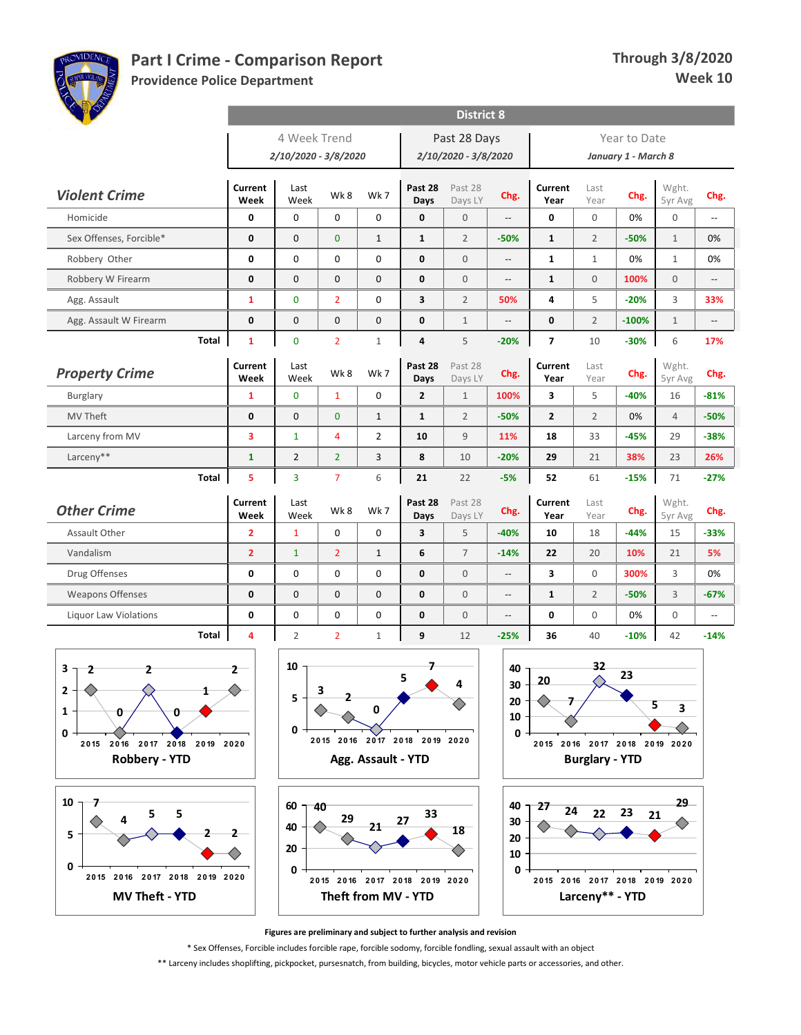

**29**

**Providence Police Department**

| <b>COLLEGE</b>                     |                 |                      |                |                |                         | <b>District 8</b>    |                |                         |                |                     |                  |                          |
|------------------------------------|-----------------|----------------------|----------------|----------------|-------------------------|----------------------|----------------|-------------------------|----------------|---------------------|------------------|--------------------------|
|                                    |                 | 4 Week Trend         |                |                |                         | Past 28 Days         |                |                         |                | Year to Date        |                  |                          |
|                                    |                 | 2/10/2020 - 3/8/2020 |                |                |                         | 2/10/2020 - 3/8/2020 |                |                         |                | January 1 - March 8 |                  |                          |
| <b>Violent Crime</b>               | Current<br>Week | Last<br>Week         | Wk8            | Wk 7           | Past 28<br>Days         | Past 28<br>Days LY   | Chg.           | Current<br>Year         | Last<br>Year   | Chg.                | Wght.<br>5yr Avg | Chg.                     |
| Homicide                           | 0               | $\Omega$             | $\Omega$       | 0              | $\mathbf 0$             | $\mathbf{0}$         | --             | $\mathbf 0$             | $\Omega$       | 0%                  | $\mathbf 0$      | Ξ.                       |
| Sex Offenses, Forcible*            | 0               | $\Omega$             | $\Omega$       | $\mathbf{1}$   | $\mathbf{1}$            | $\overline{2}$       | $-50%$         | $\mathbf{1}$            | $\overline{2}$ | $-50%$              | $\mathbf{1}$     | 0%                       |
| Robbery Other                      | 0               | 0                    | $\mathbf 0$    | 0              | $\mathbf 0$             | $\mathbf{0}$         | $\overline{a}$ | $\mathbf{1}$            | $\mathbf{1}$   | 0%                  | $\mathbf{1}$     | 0%                       |
| Robbery W Firearm                  | 0               | $\mathbf{0}$         | $\mathbf{0}$   | $\mathbf{0}$   | $\mathbf{0}$            | $\overline{0}$       | Ξ.             | $\mathbf{1}$            | $\overline{0}$ | 100%                | $\overline{0}$   | Ξ.                       |
| Agg. Assault                       | $\mathbf{1}$    | $\Omega$             | $\overline{2}$ | 0              | $\overline{\mathbf{3}}$ | $\overline{2}$       | 50%            | 4                       | 5              | $-20%$              | 3                | 33%                      |
| Agg. Assault W Firearm             | 0               | $\pmb{0}$            | $\pmb{0}$      | 0              | $\pmb{0}$               | $1\,$                | $\overline{a}$ | $\pmb{0}$               | $\overline{2}$ | $-100%$             | $\mathbf{1}$     | $\overline{a}$           |
| Total                              | $\mathbf{1}$    | $\mathbf 0$          | $\overline{2}$ | $\mathbf{1}$   | $\overline{\mathbf{a}}$ | 5                    | $-20%$         | $\overline{7}$          | 10             | $-30%$              | 6                | 17%                      |
| <b>Property Crime</b>              | Current<br>Week | Last<br>Week         | Wk8            | Wk7            | Past 28<br>Days         | Past 28<br>Days LY   | Chg.           | Current<br>Year         | Last<br>Year   | Chg.                | Wght.<br>5yr Avg | Chg.                     |
| <b>Burglary</b>                    | $\mathbf{1}$    | $\overline{0}$       | $\mathbf{1}$   | 0              | $\overline{\mathbf{2}}$ | $1\,$                | 100%           | 3                       | 5              | $-40%$              | 16               | $-81%$                   |
| <b>MV Theft</b>                    | $\mathbf 0$     | $\mathbf{0}$         | $\mathbf{0}$   | $\mathbf{1}$   | $\mathbf{1}$            | $\overline{2}$       | $-50%$         | $\overline{2}$          | $\overline{2}$ | 0%                  | $\overline{4}$   | $-50%$                   |
| Larceny from MV                    | 3               | $\mathbf{1}$         | $\overline{4}$ | $\overline{2}$ | 10                      | 9                    | 11%            | 18                      | 33             | $-45%$              | 29               | $-38%$                   |
| Larceny**                          | $\mathbf{1}$    | $\overline{2}$       | $\overline{2}$ | 3              | 8                       | 10                   | $-20%$         | 29                      | 21             | 38%                 | 23               | 26%                      |
| <b>Total</b>                       | 5               | $\overline{3}$       | $\overline{7}$ | 6              | 21                      | 22                   | $-5%$          | 52                      | 61             | $-15%$              | 71               | $-27%$                   |
| <b>Other Crime</b>                 | Current<br>Week | Last<br>Week         | Wk8            | Wk7            | Past 28<br>Days         | Past 28<br>Days LY   | Chg.           | Current<br>Year         | Last<br>Year   | Chg.                | Wght.<br>5yr Avg | Chg.                     |
| Assault Other                      | $\overline{2}$  | $\mathbf{1}$         | $\mathbf 0$    | 0              | $\overline{\mathbf{3}}$ | 5                    | $-40%$         | 10                      | 18             | $-44%$              | 15               | $-33%$                   |
| Vandalism                          | $\overline{2}$  | $\mathbf{1}$         | $\overline{2}$ | $\mathbf{1}$   | 6                       | $\overline{7}$       | $-14%$         | 22                      | 20             | 10%                 | 21               | 5%                       |
| Drug Offenses                      | $\mathbf 0$     | $\Omega$             | $\Omega$       | 0              | $\mathbf{0}$            | $\Omega$             | $\overline{a}$ | $\overline{\mathbf{3}}$ | $\Omega$       | 300%                | 3                | 0%                       |
| <b>Weapons Offenses</b>            | 0               | $\mathbf 0$          | $\mathbf 0$    | $\mathbf 0$    | $\mathbf{0}$            | $\overline{0}$       | $\overline{a}$ | $\mathbf{1}$            | $\overline{2}$ | $-50%$              | 3                | $-67%$                   |
| <b>Liquor Law Violations</b>       | $\mathbf 0$     | $\mathbf 0$          | $\mathbf 0$    | 0              | $\mathbf{0}$            | $\overline{0}$       | --             | $\mathbf 0$             | $\mathbf 0$    | 0%                  | $\mathbf 0$      | $\overline{\phantom{a}}$ |
| Total                              | 4               | $\overline{2}$       | $\overline{2}$ | $\mathbf{1}$   | 9                       | 12                   | $-25%$         | 36                      | 40             | $-10%$              | 42               | $-14%$                   |
| 3<br>$\overline{2}$<br>2           | $\overline{2}$  | 10                   |                |                | 7<br>5                  | 4                    | 40<br>30       | 20                      | 32             | 23                  |                  |                          |
| $\overline{2}$<br>1<br>0<br>0<br>0 |                 | 5<br>0               | 3<br>2         | $\pmb{0}$      |                         |                      | 20<br>10<br>0  | $\overline{ }$          |                |                     | 5<br>3           |                          |

**2 0 15 2 0 16 2 0 17 2 0 18 2 0 19 2 0 2 0**



**Robbery - YTD**



**Figures are preliminary and subject to further analysis and revision**

\* Sex Offenses, Forcible includes forcible rape, forcible sodomy, forcible fondling, sexual assault with an object